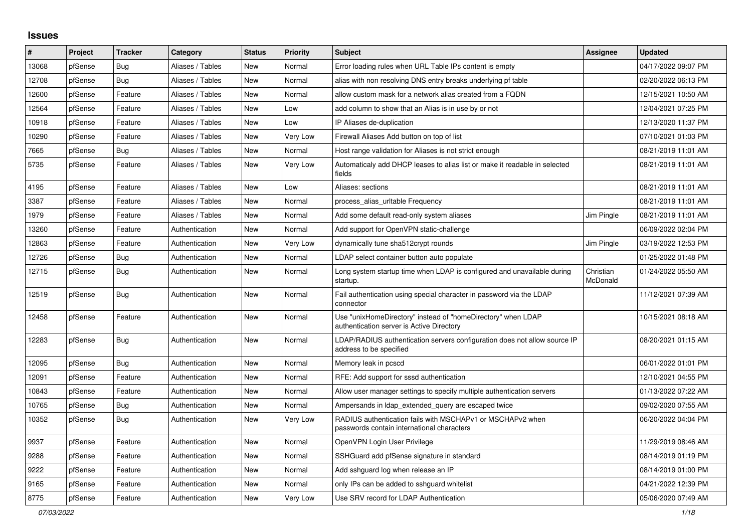## **Issues**

| $\#$  | Project | <b>Tracker</b> | Category         | <b>Status</b> | <b>Priority</b> | <b>Subject</b>                                                                                            | <b>Assignee</b>       | <b>Updated</b>      |
|-------|---------|----------------|------------------|---------------|-----------------|-----------------------------------------------------------------------------------------------------------|-----------------------|---------------------|
| 13068 | pfSense | <b>Bug</b>     | Aliases / Tables | <b>New</b>    | Normal          | Error loading rules when URL Table IPs content is empty                                                   |                       | 04/17/2022 09:07 PM |
| 12708 | pfSense | <b>Bug</b>     | Aliases / Tables | <b>New</b>    | Normal          | alias with non resolving DNS entry breaks underlying pf table                                             |                       | 02/20/2022 06:13 PM |
| 12600 | pfSense | Feature        | Aliases / Tables | <b>New</b>    | Normal          | allow custom mask for a network alias created from a FQDN                                                 |                       | 12/15/2021 10:50 AM |
| 12564 | pfSense | Feature        | Aliases / Tables | <b>New</b>    | Low             | add column to show that an Alias is in use by or not                                                      |                       | 12/04/2021 07:25 PM |
| 10918 | pfSense | Feature        | Aliases / Tables | <b>New</b>    | Low             | IP Aliases de-duplication                                                                                 |                       | 12/13/2020 11:37 PM |
| 10290 | pfSense | Feature        | Aliases / Tables | <b>New</b>    | Very Low        | Firewall Aliases Add button on top of list                                                                |                       | 07/10/2021 01:03 PM |
| 7665  | pfSense | <b>Bug</b>     | Aliases / Tables | <b>New</b>    | Normal          | Host range validation for Aliases is not strict enough                                                    |                       | 08/21/2019 11:01 AM |
| 5735  | pfSense | Feature        | Aliases / Tables | <b>New</b>    | Very Low        | Automaticaly add DHCP leases to alias list or make it readable in selected<br>fields                      |                       | 08/21/2019 11:01 AM |
| 4195  | pfSense | Feature        | Aliases / Tables | <b>New</b>    | Low             | Aliases: sections                                                                                         |                       | 08/21/2019 11:01 AM |
| 3387  | pfSense | Feature        | Aliases / Tables | New           | Normal          | process alias uritable Frequency                                                                          |                       | 08/21/2019 11:01 AM |
| 1979  | pfSense | Feature        | Aliases / Tables | <b>New</b>    | Normal          | Add some default read-only system aliases                                                                 | Jim Pingle            | 08/21/2019 11:01 AM |
| 13260 | pfSense | Feature        | Authentication   | <b>New</b>    | Normal          | Add support for OpenVPN static-challenge                                                                  |                       | 06/09/2022 02:04 PM |
| 12863 | pfSense | Feature        | Authentication   | <b>New</b>    | <b>Very Low</b> | dynamically tune sha512crypt rounds                                                                       | Jim Pingle            | 03/19/2022 12:53 PM |
| 12726 | pfSense | Bug            | Authentication   | <b>New</b>    | Normal          | LDAP select container button auto populate                                                                |                       | 01/25/2022 01:48 PM |
| 12715 | pfSense | Bug            | Authentication   | New           | Normal          | Long system startup time when LDAP is configured and unavailable during<br>startup.                       | Christian<br>McDonald | 01/24/2022 05:50 AM |
| 12519 | pfSense | <b>Bug</b>     | Authentication   | <b>New</b>    | Normal          | Fail authentication using special character in password via the LDAP<br>connector                         |                       | 11/12/2021 07:39 AM |
| 12458 | pfSense | Feature        | Authentication   | New           | Normal          | Use "unixHomeDirectory" instead of "homeDirectory" when LDAP<br>authentication server is Active Directory |                       | 10/15/2021 08:18 AM |
| 12283 | pfSense | Bug            | Authentication   | <b>New</b>    | Normal          | LDAP/RADIUS authentication servers configuration does not allow source IP<br>address to be specified      |                       | 08/20/2021 01:15 AM |
| 12095 | pfSense | Bug            | Authentication   | New           | Normal          | Memory leak in pcscd                                                                                      |                       | 06/01/2022 01:01 PM |
| 12091 | pfSense | Feature        | Authentication   | <b>New</b>    | Normal          | RFE: Add support for sssd authentication                                                                  |                       | 12/10/2021 04:55 PM |
| 10843 | pfSense | Feature        | Authentication   | <b>New</b>    | Normal          | Allow user manager settings to specify multiple authentication servers                                    |                       | 01/13/2022 07:22 AM |
| 10765 | pfSense | Bug            | Authentication   | <b>New</b>    | Normal          | Ampersands in Idap_extended_query are escaped twice                                                       |                       | 09/02/2020 07:55 AM |
| 10352 | pfSense | Bug            | Authentication   | <b>New</b>    | Very Low        | RADIUS authentication fails with MSCHAPv1 or MSCHAPv2 when<br>passwords contain international characters  |                       | 06/20/2022 04:04 PM |
| 9937  | pfSense | Feature        | Authentication   | <b>New</b>    | Normal          | OpenVPN Login User Privilege                                                                              |                       | 11/29/2019 08:46 AM |
| 9288  | pfSense | Feature        | Authentication   | New           | Normal          | SSHGuard add pfSense signature in standard                                                                |                       | 08/14/2019 01:19 PM |
| 9222  | pfSense | Feature        | Authentication   | <b>New</b>    | Normal          | Add sshguard log when release an IP                                                                       |                       | 08/14/2019 01:00 PM |
| 9165  | pfSense | Feature        | Authentication   | <b>New</b>    | Normal          | only IPs can be added to sshguard whitelist                                                               |                       | 04/21/2022 12:39 PM |
| 8775  | pfSense | Feature        | Authentication   | New           | Very Low        | Use SRV record for LDAP Authentication                                                                    |                       | 05/06/2020 07:49 AM |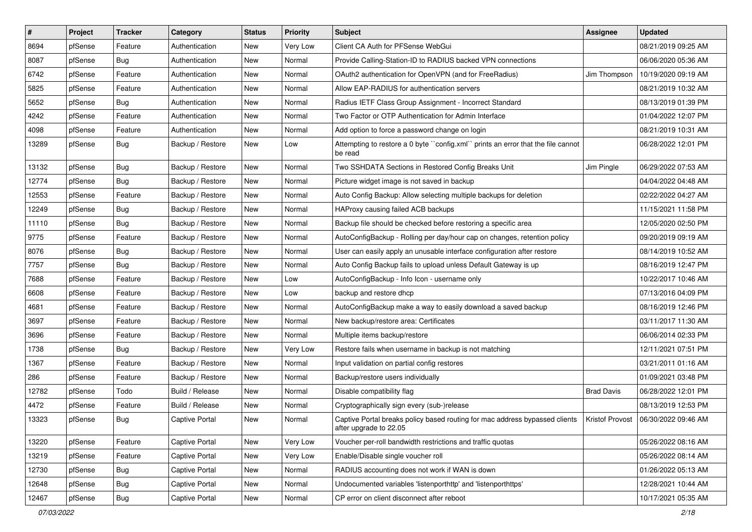| $\vert$ # | Project | <b>Tracker</b> | Category              | <b>Status</b> | <b>Priority</b> | <b>Subject</b>                                                                                        | <b>Assignee</b>   | <b>Updated</b>                        |
|-----------|---------|----------------|-----------------------|---------------|-----------------|-------------------------------------------------------------------------------------------------------|-------------------|---------------------------------------|
| 8694      | pfSense | Feature        | Authentication        | New           | Very Low        | Client CA Auth for PFSense WebGui                                                                     |                   | 08/21/2019 09:25 AM                   |
| 8087      | pfSense | Bug            | Authentication        | New           | Normal          | Provide Calling-Station-ID to RADIUS backed VPN connections                                           |                   | 06/06/2020 05:36 AM                   |
| 6742      | pfSense | Feature        | Authentication        | New           | Normal          | OAuth2 authentication for OpenVPN (and for FreeRadius)                                                | Jim Thompson      | 10/19/2020 09:19 AM                   |
| 5825      | pfSense | Feature        | Authentication        | New           | Normal          | Allow EAP-RADIUS for authentication servers                                                           |                   | 08/21/2019 10:32 AM                   |
| 5652      | pfSense | Bug            | Authentication        | New           | Normal          | Radius IETF Class Group Assignment - Incorrect Standard                                               |                   | 08/13/2019 01:39 PM                   |
| 4242      | pfSense | Feature        | Authentication        | New           | Normal          | Two Factor or OTP Authentication for Admin Interface                                                  |                   | 01/04/2022 12:07 PM                   |
| 4098      | pfSense | Feature        | Authentication        | New           | Normal          | Add option to force a password change on login                                                        |                   | 08/21/2019 10:31 AM                   |
| 13289     | pfSense | Bug            | Backup / Restore      | New           | Low             | Attempting to restore a 0 byte "config.xml" prints an error that the file cannot<br>be read           |                   | 06/28/2022 12:01 PM                   |
| 13132     | pfSense | Bug            | Backup / Restore      | New           | Normal          | Two SSHDATA Sections in Restored Config Breaks Unit                                                   | Jim Pingle        | 06/29/2022 07:53 AM                   |
| 12774     | pfSense | Bug            | Backup / Restore      | New           | Normal          | Picture widget image is not saved in backup                                                           |                   | 04/04/2022 04:48 AM                   |
| 12553     | pfSense | Feature        | Backup / Restore      | New           | Normal          | Auto Config Backup: Allow selecting multiple backups for deletion                                     |                   | 02/22/2022 04:27 AM                   |
| 12249     | pfSense | Bug            | Backup / Restore      | New           | Normal          | HAProxy causing failed ACB backups                                                                    |                   | 11/15/2021 11:58 PM                   |
| 11110     | pfSense | Bug            | Backup / Restore      | New           | Normal          | Backup file should be checked before restoring a specific area                                        |                   | 12/05/2020 02:50 PM                   |
| 9775      | pfSense | Feature        | Backup / Restore      | New           | Normal          | AutoConfigBackup - Rolling per day/hour cap on changes, retention policy                              |                   | 09/20/2019 09:19 AM                   |
| 8076      | pfSense | <b>Bug</b>     | Backup / Restore      | New           | Normal          | User can easily apply an unusable interface configuration after restore                               |                   | 08/14/2019 10:52 AM                   |
| 7757      | pfSense | Bug            | Backup / Restore      | New           | Normal          | Auto Config Backup fails to upload unless Default Gateway is up                                       |                   | 08/16/2019 12:47 PM                   |
| 7688      | pfSense | Feature        | Backup / Restore      | New           | Low             | AutoConfigBackup - Info Icon - username only                                                          |                   | 10/22/2017 10:46 AM                   |
| 6608      | pfSense | Feature        | Backup / Restore      | New           | Low             | backup and restore dhcp                                                                               |                   | 07/13/2016 04:09 PM                   |
| 4681      | pfSense | Feature        | Backup / Restore      | New           | Normal          | AutoConfigBackup make a way to easily download a saved backup                                         |                   | 08/16/2019 12:46 PM                   |
| 3697      | pfSense | Feature        | Backup / Restore      | New           | Normal          | New backup/restore area: Certificates                                                                 |                   | 03/11/2017 11:30 AM                   |
| 3696      | pfSense | Feature        | Backup / Restore      | New           | Normal          | Multiple items backup/restore                                                                         |                   | 06/06/2014 02:33 PM                   |
| 1738      | pfSense | Bug            | Backup / Restore      | New           | Very Low        | Restore fails when username in backup is not matching                                                 |                   | 12/11/2021 07:51 PM                   |
| 1367      | pfSense | Feature        | Backup / Restore      | New           | Normal          | Input validation on partial config restores                                                           |                   | 03/21/2011 01:16 AM                   |
| 286       | pfSense | Feature        | Backup / Restore      | New           | Normal          | Backup/restore users individually                                                                     |                   | 01/09/2021 03:48 PM                   |
| 12782     | pfSense | Todo           | Build / Release       | New           | Normal          | Disable compatibility flag                                                                            | <b>Brad Davis</b> | 06/28/2022 12:01 PM                   |
| 4472      | pfSense | Feature        | Build / Release       | New           | Normal          | Cryptographically sign every (sub-)release                                                            |                   | 08/13/2019 12:53 PM                   |
| 13323     | pfSense | Bug            | <b>Captive Portal</b> | New           | Normal          | Captive Portal breaks policy based routing for mac address bypassed clients<br>after upgrade to 22.05 |                   | Kristof Provost   06/30/2022 09:46 AM |
| 13220     | pfSense | Feature        | <b>Captive Portal</b> | New           | Very Low        | Voucher per-roll bandwidth restrictions and traffic quotas                                            |                   | 05/26/2022 08:16 AM                   |
| 13219     | pfSense | Feature        | Captive Portal        | New           | Very Low        | Enable/Disable single voucher roll                                                                    |                   | 05/26/2022 08:14 AM                   |
| 12730     | pfSense | Bug            | Captive Portal        | New           | Normal          | RADIUS accounting does not work if WAN is down                                                        |                   | 01/26/2022 05:13 AM                   |
| 12648     | pfSense | <b>Bug</b>     | Captive Portal        | New           | Normal          | Undocumented variables 'listenporthttp' and 'listenporthttps'                                         |                   | 12/28/2021 10:44 AM                   |
| 12467     | pfSense | <b>Bug</b>     | Captive Portal        | New           | Normal          | CP error on client disconnect after reboot                                                            |                   | 10/17/2021 05:35 AM                   |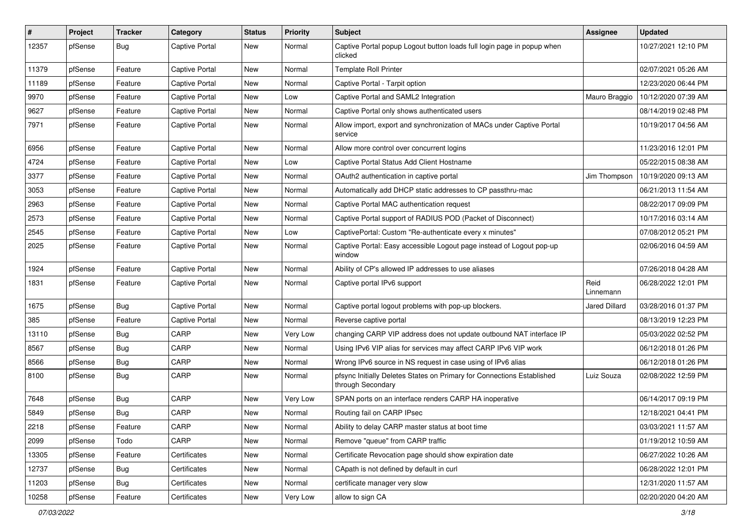| #     | Project | <b>Tracker</b> | Category              | <b>Status</b> | <b>Priority</b> | Subject                                                                                     | Assignee             | <b>Updated</b>      |
|-------|---------|----------------|-----------------------|---------------|-----------------|---------------------------------------------------------------------------------------------|----------------------|---------------------|
| 12357 | pfSense | Bug            | <b>Captive Portal</b> | New           | Normal          | Captive Portal popup Logout button loads full login page in popup when<br>clicked           |                      | 10/27/2021 12:10 PM |
| 11379 | pfSense | Feature        | <b>Captive Portal</b> | New           | Normal          | <b>Template Roll Printer</b>                                                                |                      | 02/07/2021 05:26 AM |
| 11189 | pfSense | Feature        | <b>Captive Portal</b> | New           | Normal          | Captive Portal - Tarpit option                                                              |                      | 12/23/2020 06:44 PM |
| 9970  | pfSense | Feature        | <b>Captive Portal</b> | <b>New</b>    | Low             | Captive Portal and SAML2 Integration                                                        | Mauro Braggio        | 10/12/2020 07:39 AM |
| 9627  | pfSense | Feature        | Captive Portal        | New           | Normal          | Captive Portal only shows authenticated users                                               |                      | 08/14/2019 02:48 PM |
| 7971  | pfSense | Feature        | <b>Captive Portal</b> | New           | Normal          | Allow import, export and synchronization of MACs under Captive Portal<br>service            |                      | 10/19/2017 04:56 AM |
| 6956  | pfSense | Feature        | <b>Captive Portal</b> | <b>New</b>    | Normal          | Allow more control over concurrent logins                                                   |                      | 11/23/2016 12:01 PM |
| 4724  | pfSense | Feature        | <b>Captive Portal</b> | New           | Low             | Captive Portal Status Add Client Hostname                                                   |                      | 05/22/2015 08:38 AM |
| 3377  | pfSense | Feature        | <b>Captive Portal</b> | New           | Normal          | OAuth2 authentication in captive portal                                                     | Jim Thompson         | 10/19/2020 09:13 AM |
| 3053  | pfSense | Feature        | <b>Captive Portal</b> | New           | Normal          | Automatically add DHCP static addresses to CP passthru-mac                                  |                      | 06/21/2013 11:54 AM |
| 2963  | pfSense | Feature        | <b>Captive Portal</b> | <b>New</b>    | Normal          | Captive Portal MAC authentication request                                                   |                      | 08/22/2017 09:09 PM |
| 2573  | pfSense | Feature        | Captive Portal        | New           | Normal          | Captive Portal support of RADIUS POD (Packet of Disconnect)                                 |                      | 10/17/2016 03:14 AM |
| 2545  | pfSense | Feature        | <b>Captive Portal</b> | New           | Low             | CaptivePortal: Custom "Re-authenticate every x minutes"                                     |                      | 07/08/2012 05:21 PM |
| 2025  | pfSense | Feature        | <b>Captive Portal</b> | New           | Normal          | Captive Portal: Easy accessible Logout page instead of Logout pop-up<br>window              |                      | 02/06/2016 04:59 AM |
| 1924  | pfSense | Feature        | <b>Captive Portal</b> | <b>New</b>    | Normal          | Ability of CP's allowed IP addresses to use aliases                                         |                      | 07/26/2018 04:28 AM |
| 1831  | pfSense | Feature        | <b>Captive Portal</b> | New           | Normal          | Captive portal IPv6 support                                                                 | Reid<br>Linnemann    | 06/28/2022 12:01 PM |
| 1675  | pfSense | Bug            | <b>Captive Portal</b> | <b>New</b>    | Normal          | Captive portal logout problems with pop-up blockers.                                        | <b>Jared Dillard</b> | 03/28/2016 01:37 PM |
| 385   | pfSense | Feature        | <b>Captive Portal</b> | New           | Normal          | Reverse captive portal                                                                      |                      | 08/13/2019 12:23 PM |
| 13110 | pfSense | <b>Bug</b>     | CARP                  | New           | Very Low        | changing CARP VIP address does not update outbound NAT interface IP                         |                      | 05/03/2022 02:52 PM |
| 8567  | pfSense | <b>Bug</b>     | CARP                  | New           | Normal          | Using IPv6 VIP alias for services may affect CARP IPv6 VIP work                             |                      | 06/12/2018 01:26 PM |
| 8566  | pfSense | <b>Bug</b>     | CARP                  | <b>New</b>    | Normal          | Wrong IPv6 source in NS request in case using of IPv6 alias                                 |                      | 06/12/2018 01:26 PM |
| 8100  | pfSense | <b>Bug</b>     | CARP                  | <b>New</b>    | Normal          | pfsync Initially Deletes States on Primary for Connections Established<br>through Secondary | Luiz Souza           | 02/08/2022 12:59 PM |
| 7648  | pfSense | <b>Bug</b>     | CARP                  | New           | Very Low        | SPAN ports on an interface renders CARP HA inoperative                                      |                      | 06/14/2017 09:19 PM |
| 5849  | pfSense | <b>Bug</b>     | CARP                  | <b>New</b>    | Normal          | Routing fail on CARP IPsec                                                                  |                      | 12/18/2021 04:41 PM |
| 2218  | pfSense | Feature        | CARP                  | New           | Normal          | Ability to delay CARP master status at boot time                                            |                      | 03/03/2021 11:57 AM |
| 2099  | pfSense | Todo           | CARP                  | New           | Normal          | Remove "queue" from CARP traffic                                                            |                      | 01/19/2012 10:59 AM |
| 13305 | pfSense | Feature        | Certificates          | New           | Normal          | Certificate Revocation page should show expiration date                                     |                      | 06/27/2022 10:26 AM |
| 12737 | pfSense | <b>Bug</b>     | Certificates          | New           | Normal          | CApath is not defined by default in curl                                                    |                      | 06/28/2022 12:01 PM |
| 11203 | pfSense | Bug            | Certificates          | New           | Normal          | certificate manager very slow                                                               |                      | 12/31/2020 11:57 AM |
| 10258 | pfSense | Feature        | Certificates          | New           | Very Low        | allow to sign CA                                                                            |                      | 02/20/2020 04:20 AM |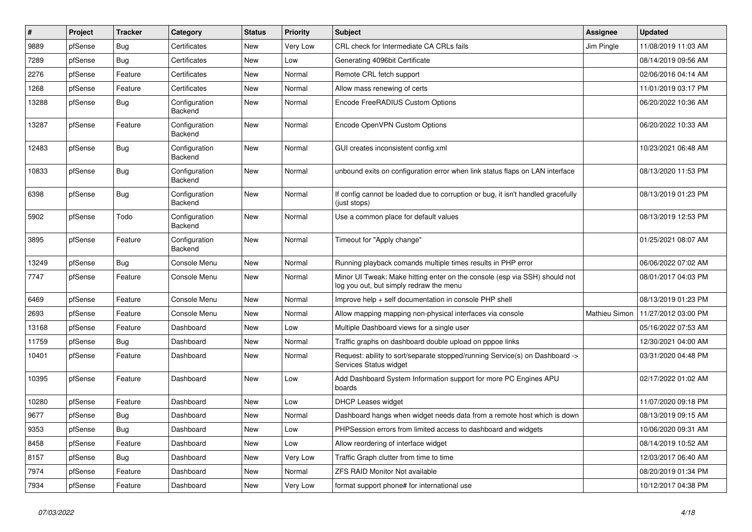| ∦     | Project | <b>Tracker</b> | Category                 | <b>Status</b> | <b>Priority</b> | Subject                                                                                                               | Assignee      | <b>Updated</b>      |
|-------|---------|----------------|--------------------------|---------------|-----------------|-----------------------------------------------------------------------------------------------------------------------|---------------|---------------------|
| 9889  | pfSense | Bug            | Certificates             | New           | Very Low        | CRL check for Intermediate CA CRLs fails                                                                              | Jim Pingle    | 11/08/2019 11:03 AM |
| 7289  | pfSense | <b>Bug</b>     | Certificates             | <b>New</b>    | Low             | Generating 4096bit Certificate                                                                                        |               | 08/14/2019 09:56 AM |
| 2276  | pfSense | Feature        | Certificates             | New           | Normal          | Remote CRL fetch support                                                                                              |               | 02/06/2016 04:14 AM |
| 1268  | pfSense | Feature        | Certificates             | New           | Normal          | Allow mass renewing of certs                                                                                          |               | 11/01/2019 03:17 PM |
| 13288 | pfSense | Bug            | Configuration<br>Backend | <b>New</b>    | Normal          | Encode FreeRADIUS Custom Options                                                                                      |               | 06/20/2022 10:36 AM |
| 13287 | pfSense | Feature        | Configuration<br>Backend | <b>New</b>    | Normal          | Encode OpenVPN Custom Options                                                                                         |               | 06/20/2022 10:33 AM |
| 12483 | pfSense | Bug            | Configuration<br>Backend | <b>New</b>    | Normal          | GUI creates inconsistent config.xml                                                                                   |               | 10/23/2021 06:48 AM |
| 10833 | pfSense | Bug            | Configuration<br>Backend | <b>New</b>    | Normal          | unbound exits on configuration error when link status flaps on LAN interface                                          |               | 08/13/2020 11:53 PM |
| 6398  | pfSense | Bug            | Configuration<br>Backend | <b>New</b>    | Normal          | If config cannot be loaded due to corruption or bug, it isn't handled gracefully<br>(just stops)                      |               | 08/13/2019 01:23 PM |
| 5902  | pfSense | Todo           | Configuration<br>Backend | New           | Normal          | Use a common place for default values                                                                                 |               | 08/13/2019 12:53 PM |
| 3895  | pfSense | Feature        | Configuration<br>Backend | <b>New</b>    | Normal          | Timeout for "Apply change"                                                                                            |               | 01/25/2021 08:07 AM |
| 13249 | pfSense | Bug            | Console Menu             | <b>New</b>    | Normal          | Running playback comands multiple times results in PHP error                                                          |               | 06/06/2022 07:02 AM |
| 7747  | pfSense | Feature        | Console Menu             | New           | Normal          | Minor UI Tweak: Make hitting enter on the console (esp via SSH) should not<br>log you out, but simply redraw the menu |               | 08/01/2017 04:03 PM |
| 6469  | pfSense | Feature        | Console Menu             | New           | Normal          | Improve help + self documentation in console PHP shell                                                                |               | 08/13/2019 01:23 PM |
| 2693  | pfSense | Feature        | Console Menu             | New           | Normal          | Allow mapping mapping non-physical interfaces via console                                                             | Mathieu Simon | 11/27/2012 03:00 PM |
| 13168 | pfSense | Feature        | Dashboard                | <b>New</b>    | Low             | Multiple Dashboard views for a single user                                                                            |               | 05/16/2022 07:53 AM |
| 11759 | pfSense | Bug            | Dashboard                | New           | Normal          | Traffic graphs on dashboard double upload on pppoe links                                                              |               | 12/30/2021 04:00 AM |
| 10401 | pfSense | Feature        | Dashboard                | New           | Normal          | Request: ability to sort/separate stopped/running Service(s) on Dashboard -><br>Services Status widget                |               | 03/31/2020 04:48 PM |
| 10395 | pfSense | Feature        | Dashboard                | <b>New</b>    | Low             | Add Dashboard System Information support for more PC Engines APU<br>boards                                            |               | 02/17/2022 01:02 AM |
| 10280 | pfSense | Feature        | Dashboard                | New           | Low             | DHCP Leases widget                                                                                                    |               | 11/07/2020 09:18 PM |
| 9677  | pfSense | Bug            | Dashboard                | New           | Normal          | Dashboard hangs when widget needs data from a remote host which is down                                               |               | 08/13/2019 09:15 AM |
| 9353  | pfSense | <b>Bug</b>     | Dashboard                | New           | Low             | PHPSession errors from limited access to dashboard and widgets                                                        |               | 10/06/2020 09:31 AM |
| 8458  | pfSense | Feature        | Dashboard                | New           | Low             | Allow reordering of interface widget                                                                                  |               | 08/14/2019 10:52 AM |
| 8157  | pfSense | Bug            | Dashboard                | New           | Very Low        | Traffic Graph clutter from time to time                                                                               |               | 12/03/2017 06:40 AM |
| 7974  | pfSense | Feature        | Dashboard                | New           | Normal          | <b>ZFS RAID Monitor Not available</b>                                                                                 |               | 08/20/2019 01:34 PM |
| 7934  | pfSense | Feature        | Dashboard                | New           | Very Low        | format support phone# for international use                                                                           |               | 10/12/2017 04:38 PM |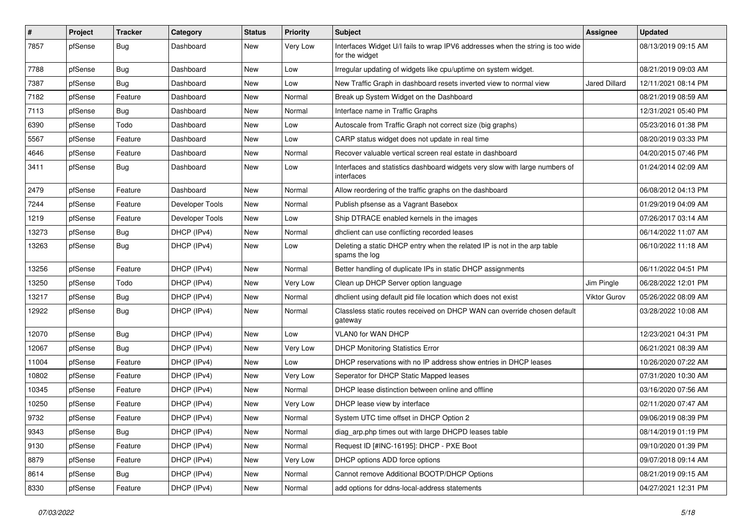| $\vert$ # | Project | <b>Tracker</b> | Category        | <b>Status</b> | <b>Priority</b> | Subject                                                                                          | <b>Assignee</b>      | <b>Updated</b>      |
|-----------|---------|----------------|-----------------|---------------|-----------------|--------------------------------------------------------------------------------------------------|----------------------|---------------------|
| 7857      | pfSense | <b>Bug</b>     | Dashboard       | New           | Very Low        | Interfaces Widget U/I fails to wrap IPV6 addresses when the string is too wide<br>for the widget |                      | 08/13/2019 09:15 AM |
| 7788      | pfSense | Bug            | Dashboard       | New           | Low             | Irregular updating of widgets like cpu/uptime on system widget.                                  |                      | 08/21/2019 09:03 AM |
| 7387      | pfSense | <b>Bug</b>     | Dashboard       | New           | Low             | New Traffic Graph in dashboard resets inverted view to normal view                               | <b>Jared Dillard</b> | 12/11/2021 08:14 PM |
| 7182      | pfSense | Feature        | Dashboard       | <b>New</b>    | Normal          | Break up System Widget on the Dashboard                                                          |                      | 08/21/2019 08:59 AM |
| 7113      | pfSense | Bug            | Dashboard       | New           | Normal          | Interface name in Traffic Graphs                                                                 |                      | 12/31/2021 05:40 PM |
| 6390      | pfSense | Todo           | Dashboard       | New           | Low             | Autoscale from Traffic Graph not correct size (big graphs)                                       |                      | 05/23/2016 01:38 PM |
| 5567      | pfSense | Feature        | Dashboard       | New           | Low             | CARP status widget does not update in real time                                                  |                      | 08/20/2019 03:33 PM |
| 4646      | pfSense | Feature        | Dashboard       | New           | Normal          | Recover valuable vertical screen real estate in dashboard                                        |                      | 04/20/2015 07:46 PM |
| 3411      | pfSense | <b>Bug</b>     | Dashboard       | New           | Low             | Interfaces and statistics dashboard widgets very slow with large numbers of<br>interfaces        |                      | 01/24/2014 02:09 AM |
| 2479      | pfSense | Feature        | Dashboard       | <b>New</b>    | Normal          | Allow reordering of the traffic graphs on the dashboard                                          |                      | 06/08/2012 04:13 PM |
| 7244      | pfSense | Feature        | Developer Tools | <b>New</b>    | Normal          | Publish pfsense as a Vagrant Basebox                                                             |                      | 01/29/2019 04:09 AM |
| 1219      | pfSense | Feature        | Developer Tools | New           | Low             | Ship DTRACE enabled kernels in the images                                                        |                      | 07/26/2017 03:14 AM |
| 13273     | pfSense | <b>Bug</b>     | DHCP (IPv4)     | New           | Normal          | dhclient can use conflicting recorded leases                                                     |                      | 06/14/2022 11:07 AM |
| 13263     | pfSense | <b>Bug</b>     | DHCP (IPv4)     | New           | Low             | Deleting a static DHCP entry when the related IP is not in the arp table<br>spams the log        |                      | 06/10/2022 11:18 AM |
| 13256     | pfSense | Feature        | DHCP (IPv4)     | <b>New</b>    | Normal          | Better handling of duplicate IPs in static DHCP assignments                                      |                      | 06/11/2022 04:51 PM |
| 13250     | pfSense | Todo           | DHCP (IPv4)     | New           | Very Low        | Clean up DHCP Server option language                                                             | Jim Pingle           | 06/28/2022 12:01 PM |
| 13217     | pfSense | <b>Bug</b>     | DHCP (IPv4)     | New           | Normal          | dhclient using default pid file location which does not exist                                    | Viktor Gurov         | 05/26/2022 08:09 AM |
| 12922     | pfSense | Bug            | DHCP (IPv4)     | <b>New</b>    | Normal          | Classless static routes received on DHCP WAN can override chosen default<br>gateway              |                      | 03/28/2022 10:08 AM |
| 12070     | pfSense | Bug            | DHCP (IPv4)     | <b>New</b>    | Low             | <b>VLAN0 for WAN DHCP</b>                                                                        |                      | 12/23/2021 04:31 PM |
| 12067     | pfSense | <b>Bug</b>     | DHCP (IPv4)     | New           | Very Low        | <b>DHCP Monitoring Statistics Error</b>                                                          |                      | 06/21/2021 08:39 AM |
| 11004     | pfSense | Feature        | DHCP (IPv4)     | <b>New</b>    | Low             | DHCP reservations with no IP address show entries in DHCP leases                                 |                      | 10/26/2020 07:22 AM |
| 10802     | pfSense | Feature        | DHCP (IPv4)     | <b>New</b>    | Very Low        | Seperator for DHCP Static Mapped leases                                                          |                      | 07/31/2020 10:30 AM |
| 10345     | pfSense | Feature        | DHCP (IPv4)     | New           | Normal          | DHCP lease distinction between online and offline                                                |                      | 03/16/2020 07:56 AM |
| 10250     | pfSense | Feature        | DHCP (IPv4)     | New           | Very Low        | DHCP lease view by interface                                                                     |                      | 02/11/2020 07:47 AM |
| 9732      | pfSense | Feature        | DHCP (IPv4)     | New           | Normal          | System UTC time offset in DHCP Option 2                                                          |                      | 09/06/2019 08:39 PM |
| 9343      | pfSense | <b>Bug</b>     | DHCP (IPv4)     | New           | Normal          | diag_arp.php times out with large DHCPD leases table                                             |                      | 08/14/2019 01:19 PM |
| 9130      | pfSense | Feature        | DHCP (IPv4)     | <b>New</b>    | Normal          | Request ID [#INC-16195]: DHCP - PXE Boot                                                         |                      | 09/10/2020 01:39 PM |
| 8879      | pfSense | Feature        | DHCP (IPv4)     | New           | Very Low        | DHCP options ADD force options                                                                   |                      | 09/07/2018 09:14 AM |
| 8614      | pfSense | Bug            | DHCP (IPv4)     | New           | Normal          | Cannot remove Additional BOOTP/DHCP Options                                                      |                      | 08/21/2019 09:15 AM |
| 8330      | pfSense | Feature        | DHCP (IPv4)     | New           | Normal          | add options for ddns-local-address statements                                                    |                      | 04/27/2021 12:31 PM |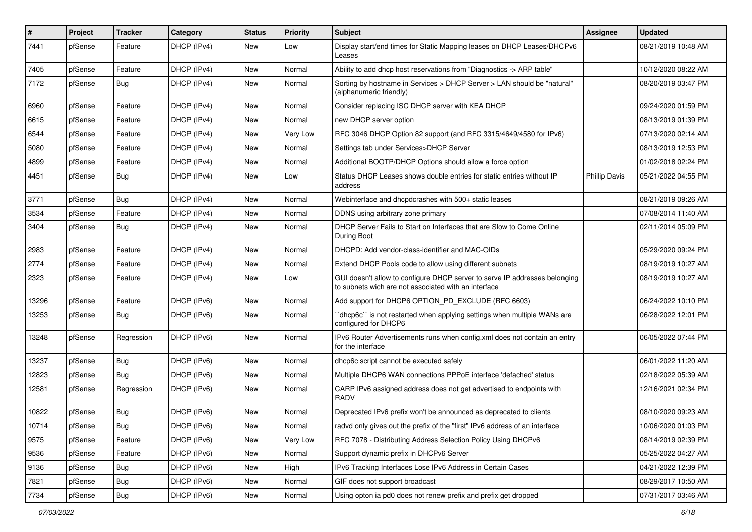| ∦     | Project | <b>Tracker</b> | Category    | <b>Status</b> | <b>Priority</b> | <b>Subject</b>                                                                                                                     | Assignee             | <b>Updated</b>      |
|-------|---------|----------------|-------------|---------------|-----------------|------------------------------------------------------------------------------------------------------------------------------------|----------------------|---------------------|
| 7441  | pfSense | Feature        | DHCP (IPv4) | New           | Low             | Display start/end times for Static Mapping leases on DHCP Leases/DHCPv6<br>Leases                                                  |                      | 08/21/2019 10:48 AM |
| 7405  | pfSense | Feature        | DHCP (IPv4) | New           | Normal          | Ability to add dhcp host reservations from "Diagnostics -> ARP table"                                                              |                      | 10/12/2020 08:22 AM |
| 7172  | pfSense | <b>Bug</b>     | DHCP (IPv4) | New           | Normal          | Sorting by hostname in Services > DHCP Server > LAN should be "natural"<br>(alphanumeric friendly)                                 |                      | 08/20/2019 03:47 PM |
| 6960  | pfSense | Feature        | DHCP (IPv4) | New           | Normal          | Consider replacing ISC DHCP server with KEA DHCP                                                                                   |                      | 09/24/2020 01:59 PM |
| 6615  | pfSense | Feature        | DHCP (IPv4) | New           | Normal          | new DHCP server option                                                                                                             |                      | 08/13/2019 01:39 PM |
| 6544  | pfSense | Feature        | DHCP (IPv4) | New           | Very Low        | RFC 3046 DHCP Option 82 support (and RFC 3315/4649/4580 for IPv6)                                                                  |                      | 07/13/2020 02:14 AM |
| 5080  | pfSense | Feature        | DHCP (IPv4) | New           | Normal          | Settings tab under Services>DHCP Server                                                                                            |                      | 08/13/2019 12:53 PM |
| 4899  | pfSense | Feature        | DHCP (IPv4) | <b>New</b>    | Normal          | Additional BOOTP/DHCP Options should allow a force option                                                                          |                      | 01/02/2018 02:24 PM |
| 4451  | pfSense | Bug            | DHCP (IPv4) | New           | Low             | Status DHCP Leases shows double entries for static entries without IP<br>address                                                   | <b>Phillip Davis</b> | 05/21/2022 04:55 PM |
| 3771  | pfSense | <b>Bug</b>     | DHCP (IPv4) | New           | Normal          | Webinterface and dhcpdcrashes with 500+ static leases                                                                              |                      | 08/21/2019 09:26 AM |
| 3534  | pfSense | Feature        | DHCP (IPv4) | New           | Normal          | DDNS using arbitrary zone primary                                                                                                  |                      | 07/08/2014 11:40 AM |
| 3404  | pfSense | Bug            | DHCP (IPv4) | New           | Normal          | DHCP Server Fails to Start on Interfaces that are Slow to Come Online<br>During Boot                                               |                      | 02/11/2014 05:09 PM |
| 2983  | pfSense | Feature        | DHCP (IPv4) | New           | Normal          | DHCPD: Add vendor-class-identifier and MAC-OIDs                                                                                    |                      | 05/29/2020 09:24 PM |
| 2774  | pfSense | Feature        | DHCP (IPv4) | New           | Normal          | Extend DHCP Pools code to allow using different subnets                                                                            |                      | 08/19/2019 10:27 AM |
| 2323  | pfSense | Feature        | DHCP (IPv4) | New           | Low             | GUI doesn't allow to configure DHCP server to serve IP addresses belonging<br>to subnets wich are not associated with an interface |                      | 08/19/2019 10:27 AM |
| 13296 | pfSense | Feature        | DHCP (IPv6) | New           | Normal          | Add support for DHCP6 OPTION_PD_EXCLUDE (RFC 6603)                                                                                 |                      | 06/24/2022 10:10 PM |
| 13253 | pfSense | <b>Bug</b>     | DHCP (IPv6) | New           | Normal          | 'dhcp6c' is not restarted when applying settings when multiple WANs are<br>configured for DHCP6                                    |                      | 06/28/2022 12:01 PM |
| 13248 | pfSense | Regression     | DHCP (IPv6) | New           | Normal          | IPv6 Router Advertisements runs when config.xml does not contain an entry<br>for the interface                                     |                      | 06/05/2022 07:44 PM |
| 13237 | pfSense | <b>Bug</b>     | DHCP (IPv6) | New           | Normal          | dhcp6c script cannot be executed safely                                                                                            |                      | 06/01/2022 11:20 AM |
| 12823 | pfSense | Bug            | DHCP (IPv6) | New           | Normal          | Multiple DHCP6 WAN connections PPPoE interface 'defached' status                                                                   |                      | 02/18/2022 05:39 AM |
| 12581 | pfSense | Regression     | DHCP (IPv6) | New           | Normal          | CARP IPv6 assigned address does not get advertised to endpoints with<br><b>RADV</b>                                                |                      | 12/16/2021 02:34 PM |
| 10822 | pfSense | <b>Bug</b>     | DHCP (IPv6) | New           | Normal          | Deprecated IPv6 prefix won't be announced as deprecated to clients                                                                 |                      | 08/10/2020 09:23 AM |
| 10714 | pfSense | <b>Bug</b>     | DHCP (IPv6) | New           | Normal          | radvd only gives out the prefix of the "first" IPv6 address of an interface                                                        |                      | 10/06/2020 01:03 PM |
| 9575  | pfSense | Feature        | DHCP (IPv6) | New           | Very Low        | RFC 7078 - Distributing Address Selection Policy Using DHCPv6                                                                      |                      | 08/14/2019 02:39 PM |
| 9536  | pfSense | Feature        | DHCP (IPv6) | New           | Normal          | Support dynamic prefix in DHCPv6 Server                                                                                            |                      | 05/25/2022 04:27 AM |
| 9136  | pfSense | <b>Bug</b>     | DHCP (IPv6) | New           | High            | IPv6 Tracking Interfaces Lose IPv6 Address in Certain Cases                                                                        |                      | 04/21/2022 12:39 PM |
| 7821  | pfSense | Bug            | DHCP (IPv6) | New           | Normal          | GIF does not support broadcast                                                                                                     |                      | 08/29/2017 10:50 AM |
| 7734  | pfSense | Bug            | DHCP (IPv6) | New           | Normal          | Using opton ia pd0 does not renew prefix and prefix get dropped                                                                    |                      | 07/31/2017 03:46 AM |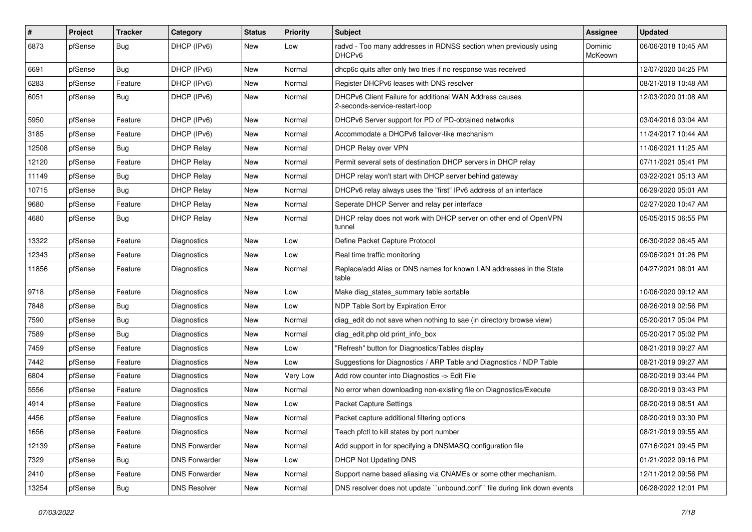| #     | Project | <b>Tracker</b> | Category             | <b>Status</b> | <b>Priority</b> | <b>Subject</b>                                                                            | Assignee           | <b>Updated</b>      |
|-------|---------|----------------|----------------------|---------------|-----------------|-------------------------------------------------------------------------------------------|--------------------|---------------------|
| 6873  | pfSense | Bug            | DHCP (IPv6)          | New           | Low             | radvd - Too many addresses in RDNSS section when previously using<br>DHCP <sub>v6</sub>   | Dominic<br>McKeown | 06/06/2018 10:45 AM |
| 6691  | pfSense | Bug            | DHCP (IPv6)          | New           | Normal          | dhcp6c quits after only two tries if no response was received                             |                    | 12/07/2020 04:25 PM |
| 6283  | pfSense | Feature        | DHCP (IPv6)          | <b>New</b>    | Normal          | Register DHCPv6 leases with DNS resolver                                                  |                    | 08/21/2019 10:48 AM |
| 6051  | pfSense | Bug            | DHCP (IPv6)          | <b>New</b>    | Normal          | DHCPv6 Client Failure for additional WAN Address causes<br>2-seconds-service-restart-loop |                    | 12/03/2020 01:08 AM |
| 5950  | pfSense | Feature        | DHCP (IPv6)          | New           | Normal          | DHCPv6 Server support for PD of PD-obtained networks                                      |                    | 03/04/2016 03:04 AM |
| 3185  | pfSense | Feature        | DHCP (IPv6)          | <b>New</b>    | Normal          | Accommodate a DHCPv6 failover-like mechanism                                              |                    | 11/24/2017 10:44 AM |
| 12508 | pfSense | Bug            | <b>DHCP Relay</b>    | New           | Normal          | DHCP Relay over VPN                                                                       |                    | 11/06/2021 11:25 AM |
| 12120 | pfSense | Feature        | <b>DHCP Relay</b>    | <b>New</b>    | Normal          | Permit several sets of destination DHCP servers in DHCP relay                             |                    | 07/11/2021 05:41 PM |
| 11149 | pfSense | Bug            | <b>DHCP Relay</b>    | New           | Normal          | DHCP relay won't start with DHCP server behind gateway                                    |                    | 03/22/2021 05:13 AM |
| 10715 | pfSense | <b>Bug</b>     | <b>DHCP Relay</b>    | New           | Normal          | DHCPv6 relay always uses the "first" IPv6 address of an interface                         |                    | 06/29/2020 05:01 AM |
| 9680  | pfSense | Feature        | <b>DHCP Relay</b>    | <b>New</b>    | Normal          | Seperate DHCP Server and relay per interface                                              |                    | 02/27/2020 10:47 AM |
| 4680  | pfSense | <b>Bug</b>     | <b>DHCP Relay</b>    | New           | Normal          | DHCP relay does not work with DHCP server on other end of OpenVPN<br>tunnel               |                    | 05/05/2015 06:55 PM |
| 13322 | pfSense | Feature        | Diagnostics          | <b>New</b>    | Low             | Define Packet Capture Protocol                                                            |                    | 06/30/2022 06:45 AM |
| 12343 | pfSense | Feature        | Diagnostics          | New           | Low             | Real time traffic monitoring                                                              |                    | 09/06/2021 01:26 PM |
| 11856 | pfSense | Feature        | Diagnostics          | <b>New</b>    | Normal          | Replace/add Alias or DNS names for known LAN addresses in the State<br>table              |                    | 04/27/2021 08:01 AM |
| 9718  | pfSense | Feature        | Diagnostics          | <b>New</b>    | Low             | Make diag_states_summary table sortable                                                   |                    | 10/06/2020 09:12 AM |
| 7848  | pfSense | Bug            | Diagnostics          | <b>New</b>    | Low             | NDP Table Sort by Expiration Error                                                        |                    | 08/26/2019 02:56 PM |
| 7590  | pfSense | <b>Bug</b>     | Diagnostics          | New           | Normal          | diag edit do not save when nothing to sae (in directory browse view)                      |                    | 05/20/2017 05:04 PM |
| 7589  | pfSense | Bug            | <b>Diagnostics</b>   | <b>New</b>    | Normal          | diag_edit.php old print_info_box                                                          |                    | 05/20/2017 05:02 PM |
| 7459  | pfSense | Feature        | <b>Diagnostics</b>   | New           | Low             | "Refresh" button for Diagnostics/Tables display                                           |                    | 08/21/2019 09:27 AM |
| 7442  | pfSense | Feature        | Diagnostics          | New           | Low             | Suggestions for Diagnostics / ARP Table and Diagnostics / NDP Table                       |                    | 08/21/2019 09:27 AM |
| 6804  | pfSense | Feature        | <b>Diagnostics</b>   | <b>New</b>    | Very Low        | Add row counter into Diagnostics -> Edit File                                             |                    | 08/20/2019 03:44 PM |
| 5556  | pfSense | Feature        | Diagnostics          | New           | Normal          | No error when downloading non-existing file on Diagnostics/Execute                        |                    | 08/20/2019 03:43 PM |
| 4914  | pfSense | Feature        | Diagnostics          | New           | Low             | <b>Packet Capture Settings</b>                                                            |                    | 08/20/2019 08:51 AM |
| 4456  | pfSense | Feature        | Diagnostics          | New           | Normal          | Packet capture additional filtering options                                               |                    | 08/20/2019 03:30 PM |
| 1656  | pfSense | Feature        | Diagnostics          | New           | Normal          | Teach pfctl to kill states by port number                                                 |                    | 08/21/2019 09:55 AM |
| 12139 | pfSense | Feature        | <b>DNS Forwarder</b> | <b>New</b>    | Normal          | Add support in for specifying a DNSMASQ configuration file                                |                    | 07/16/2021 09:45 PM |
| 7329  | pfSense | Bug            | <b>DNS Forwarder</b> | New           | Low             | DHCP Not Updating DNS                                                                     |                    | 01/21/2022 09:16 PM |
| 2410  | pfSense | Feature        | <b>DNS Forwarder</b> | New           | Normal          | Support name based aliasing via CNAMEs or some other mechanism.                           |                    | 12/11/2012 09:56 PM |
| 13254 | pfSense | <b>Bug</b>     | <b>DNS Resolver</b>  | New           | Normal          | DNS resolver does not update "unbound.conf" file during link down events                  |                    | 06/28/2022 12:01 PM |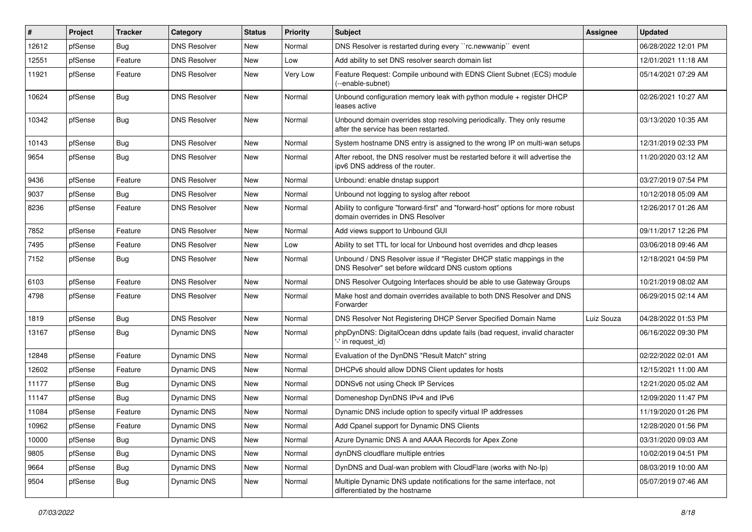| ∦     | Project | <b>Tracker</b> | Category            | <b>Status</b> | <b>Priority</b> | <b>Subject</b>                                                                                                                | <b>Assignee</b> | <b>Updated</b>      |
|-------|---------|----------------|---------------------|---------------|-----------------|-------------------------------------------------------------------------------------------------------------------------------|-----------------|---------------------|
| 12612 | pfSense | <b>Bug</b>     | <b>DNS Resolver</b> | New           | Normal          | DNS Resolver is restarted during every "rc.newwanip" event                                                                    |                 | 06/28/2022 12:01 PM |
| 12551 | pfSense | Feature        | <b>DNS Resolver</b> | New           | Low             | Add ability to set DNS resolver search domain list                                                                            |                 | 12/01/2021 11:18 AM |
| 11921 | pfSense | Feature        | <b>DNS Resolver</b> | New           | Very Low        | Feature Request: Compile unbound with EDNS Client Subnet (ECS) module<br>(--enable-subnet)                                    |                 | 05/14/2021 07:29 AM |
| 10624 | pfSense | <b>Bug</b>     | <b>DNS Resolver</b> | <b>New</b>    | Normal          | Unbound configuration memory leak with python module + register DHCP<br>leases active                                         |                 | 02/26/2021 10:27 AM |
| 10342 | pfSense | <b>Bug</b>     | <b>DNS Resolver</b> | New           | Normal          | Unbound domain overrides stop resolving periodically. They only resume<br>after the service has been restarted.               |                 | 03/13/2020 10:35 AM |
| 10143 | pfSense | <b>Bug</b>     | <b>DNS Resolver</b> | New           | Normal          | System hostname DNS entry is assigned to the wrong IP on multi-wan setups                                                     |                 | 12/31/2019 02:33 PM |
| 9654  | pfSense | <b>Bug</b>     | <b>DNS Resolver</b> | New           | Normal          | After reboot, the DNS resolver must be restarted before it will advertise the<br>ipv6 DNS address of the router.              |                 | 11/20/2020 03:12 AM |
| 9436  | pfSense | Feature        | <b>DNS Resolver</b> | New           | Normal          | Unbound: enable dnstap support                                                                                                |                 | 03/27/2019 07:54 PM |
| 9037  | pfSense | Bug            | <b>DNS Resolver</b> | New           | Normal          | Unbound not logging to syslog after reboot                                                                                    |                 | 10/12/2018 05:09 AM |
| 8236  | pfSense | Feature        | <b>DNS Resolver</b> | New           | Normal          | Ability to configure "forward-first" and "forward-host" options for more robust<br>domain overrides in DNS Resolver           |                 | 12/26/2017 01:26 AM |
| 7852  | pfSense | Feature        | <b>DNS Resolver</b> | <b>New</b>    | Normal          | Add views support to Unbound GUI                                                                                              |                 | 09/11/2017 12:26 PM |
| 7495  | pfSense | Feature        | <b>DNS Resolver</b> | New           | Low             | Ability to set TTL for local for Unbound host overrides and dhcp leases                                                       |                 | 03/06/2018 09:46 AM |
| 7152  | pfSense | <b>Bug</b>     | <b>DNS Resolver</b> | New           | Normal          | Unbound / DNS Resolver issue if "Register DHCP static mappings in the<br>DNS Resolver" set before wildcard DNS custom options |                 | 12/18/2021 04:59 PM |
| 6103  | pfSense | Feature        | <b>DNS Resolver</b> | <b>New</b>    | Normal          | DNS Resolver Outgoing Interfaces should be able to use Gateway Groups                                                         |                 | 10/21/2019 08:02 AM |
| 4798  | pfSense | Feature        | <b>DNS Resolver</b> | New           | Normal          | Make host and domain overrides available to both DNS Resolver and DNS<br>Forwarder                                            |                 | 06/29/2015 02:14 AM |
| 1819  | pfSense | <b>Bug</b>     | <b>DNS Resolver</b> | New           | Normal          | DNS Resolver Not Registering DHCP Server Specified Domain Name                                                                | Luiz Souza      | 04/28/2022 01:53 PM |
| 13167 | pfSense | Bug            | <b>Dynamic DNS</b>  | <b>New</b>    | Normal          | phpDynDNS: DigitalOcean ddns update fails (bad request, invalid character<br>'-' in request id)                               |                 | 06/16/2022 09:30 PM |
| 12848 | pfSense | Feature        | <b>Dynamic DNS</b>  | New           | Normal          | Evaluation of the DynDNS "Result Match" string                                                                                |                 | 02/22/2022 02:01 AM |
| 12602 | pfSense | Feature        | <b>Dynamic DNS</b>  | New           | Normal          | DHCPv6 should allow DDNS Client updates for hosts                                                                             |                 | 12/15/2021 11:00 AM |
| 11177 | pfSense | <b>Bug</b>     | <b>Dynamic DNS</b>  | New           | Normal          | DDNSv6 not using Check IP Services                                                                                            |                 | 12/21/2020 05:02 AM |
| 11147 | pfSense | Bug            | Dynamic DNS         | New           | Normal          | Domeneshop DynDNS IPv4 and IPv6                                                                                               |                 | 12/09/2020 11:47 PM |
| 11084 | pfSense | Feature        | <b>Dynamic DNS</b>  | New           | Normal          | Dynamic DNS include option to specify virtual IP addresses                                                                    |                 | 11/19/2020 01:26 PM |
| 10962 | pfSense | Feature        | Dynamic DNS         | New           | Normal          | Add Cpanel support for Dynamic DNS Clients                                                                                    |                 | 12/28/2020 01:56 PM |
| 10000 | pfSense | <b>Bug</b>     | Dynamic DNS         | New           | Normal          | Azure Dynamic DNS A and AAAA Records for Apex Zone                                                                            |                 | 03/31/2020 09:03 AM |
| 9805  | pfSense | <b>Bug</b>     | Dynamic DNS         | New           | Normal          | dynDNS cloudflare multiple entries                                                                                            |                 | 10/02/2019 04:51 PM |
| 9664  | pfSense | Bug            | Dynamic DNS         | New           | Normal          | DynDNS and Dual-wan problem with CloudFlare (works with No-Ip)                                                                |                 | 08/03/2019 10:00 AM |
| 9504  | pfSense | Bug            | Dynamic DNS         | New           | Normal          | Multiple Dynamic DNS update notifications for the same interface, not<br>differentiated by the hostname                       |                 | 05/07/2019 07:46 AM |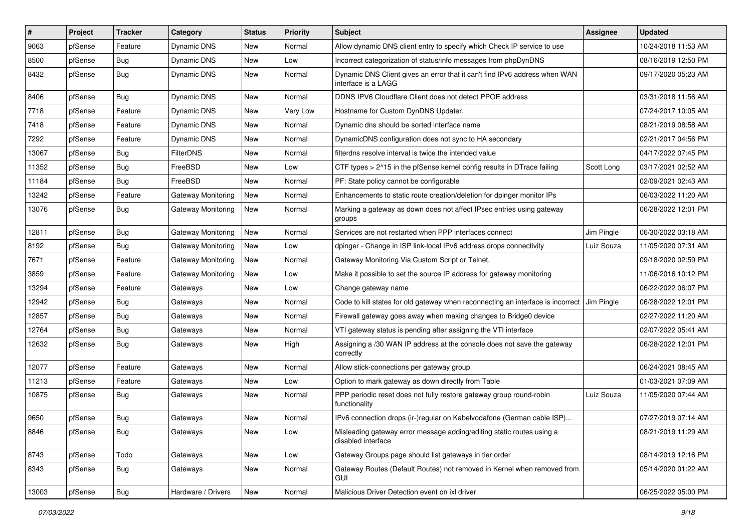| #     | Project | <b>Tracker</b> | Category           | <b>Status</b> | <b>Priority</b> | <b>Subject</b>                                                                                    | <b>Assignee</b> | <b>Updated</b>      |
|-------|---------|----------------|--------------------|---------------|-----------------|---------------------------------------------------------------------------------------------------|-----------------|---------------------|
| 9063  | pfSense | Feature        | Dynamic DNS        | <b>New</b>    | Normal          | Allow dynamic DNS client entry to specify which Check IP service to use                           |                 | 10/24/2018 11:53 AM |
| 8500  | pfSense | Bug            | Dynamic DNS        | New           | Low             | Incorrect categorization of status/info messages from phpDynDNS                                   |                 | 08/16/2019 12:50 PM |
| 8432  | pfSense | Bug            | Dynamic DNS        | New           | Normal          | Dynamic DNS Client gives an error that it can't find IPv6 address when WAN<br>interface is a LAGG |                 | 09/17/2020 05:23 AM |
| 8406  | pfSense | Bug            | <b>Dynamic DNS</b> | <b>New</b>    | Normal          | DDNS IPV6 Cloudflare Client does not detect PPOE address                                          |                 | 03/31/2018 11:56 AM |
| 7718  | pfSense | Feature        | Dynamic DNS        | New           | Very Low        | Hostname for Custom DynDNS Updater.                                                               |                 | 07/24/2017 10:05 AM |
| 7418  | pfSense | Feature        | Dynamic DNS        | New           | Normal          | Dynamic dns should be sorted interface name                                                       |                 | 08/21/2019 08:58 AM |
| 7292  | pfSense | Feature        | Dynamic DNS        | <b>New</b>    | Normal          | DynamicDNS configuration does not sync to HA secondary                                            |                 | 02/21/2017 04:56 PM |
| 13067 | pfSense | Bug            | FilterDNS          | New           | Normal          | filterdns resolve interval is twice the intended value                                            |                 | 04/17/2022 07:45 PM |
| 11352 | pfSense | Bug            | FreeBSD            | <b>New</b>    | Low             | CTF types > 2^15 in the pfSense kernel config results in DTrace failing                           | Scott Long      | 03/17/2021 02:52 AM |
| 11184 | pfSense | <b>Bug</b>     | FreeBSD            | New           | Normal          | PF: State policy cannot be configurable                                                           |                 | 02/09/2021 02:43 AM |
| 13242 | pfSense | Feature        | Gateway Monitoring | New           | Normal          | Enhancements to static route creation/deletion for dpinger monitor IPs                            |                 | 06/03/2022 11:20 AM |
| 13076 | pfSense | Bug            | Gateway Monitoring | New           | Normal          | Marking a gateway as down does not affect IPsec entries using gateway<br>groups                   |                 | 06/28/2022 12:01 PM |
| 12811 | pfSense | Bug            | Gateway Monitoring | <b>New</b>    | Normal          | Services are not restarted when PPP interfaces connect                                            | Jim Pingle      | 06/30/2022 03:18 AM |
| 8192  | pfSense | Bug            | Gateway Monitoring | <b>New</b>    | Low             | dpinger - Change in ISP link-local IPv6 address drops connectivity                                | Luiz Souza      | 11/05/2020 07:31 AM |
| 7671  | pfSense | Feature        | Gateway Monitoring | New           | Normal          | Gateway Monitoring Via Custom Script or Telnet.                                                   |                 | 09/18/2020 02:59 PM |
| 3859  | pfSense | Feature        | Gateway Monitoring | <b>New</b>    | Low             | Make it possible to set the source IP address for gateway monitoring                              |                 | 11/06/2016 10:12 PM |
| 13294 | pfSense | Feature        | Gateways           | New           | Low             | Change gateway name                                                                               |                 | 06/22/2022 06:07 PM |
| 12942 | pfSense | <b>Bug</b>     | Gateways           | <b>New</b>    | Normal          | Code to kill states for old gateway when reconnecting an interface is incorrect                   | Jim Pingle      | 06/28/2022 12:01 PM |
| 12857 | pfSense | Bug            | Gateways           | <b>New</b>    | Normal          | Firewall gateway goes away when making changes to Bridge0 device                                  |                 | 02/27/2022 11:20 AM |
| 12764 | pfSense | <b>Bug</b>     | Gateways           | New           | Normal          | VTI gateway status is pending after assigning the VTI interface                                   |                 | 02/07/2022 05:41 AM |
| 12632 | pfSense | <b>Bug</b>     | Gateways           | New           | High            | Assigning a /30 WAN IP address at the console does not save the gateway<br>correctly              |                 | 06/28/2022 12:01 PM |
| 12077 | pfSense | Feature        | Gateways           | New           | Normal          | Allow stick-connections per gateway group                                                         |                 | 06/24/2021 08:45 AM |
| 11213 | pfSense | Feature        | Gateways           | New           | Low             | Option to mark gateway as down directly from Table                                                |                 | 01/03/2021 07:09 AM |
| 10875 | pfSense | <b>Bug</b>     | Gateways           | New           | Normal          | PPP periodic reset does not fully restore gateway group round-robin<br>functionality              | Luiz Souza      | 11/05/2020 07:44 AM |
| 9650  | pfSense | Bug            | Gateways           | <b>New</b>    | Normal          | IPv6 connection drops (ir-)regular on Kabelvodafone (German cable ISP)                            |                 | 07/27/2019 07:14 AM |
| 8846  | pfSense | <b>Bug</b>     | Gateways           | New           | Low             | Misleading gateway error message adding/editing static routes using a<br>disabled interface       |                 | 08/21/2019 11:29 AM |
| 8743  | pfSense | Todo           | Gateways           | <b>New</b>    | Low             | Gateway Groups page should list gateways in tier order                                            |                 | 08/14/2019 12:16 PM |
| 8343  | pfSense | <b>Bug</b>     | Gateways           | New           | Normal          | Gateway Routes (Default Routes) not removed in Kernel when removed from<br>GUI                    |                 | 05/14/2020 01:22 AM |
| 13003 | pfSense | <b>Bug</b>     | Hardware / Drivers | New           | Normal          | Malicious Driver Detection event on ixl driver                                                    |                 | 06/25/2022 05:00 PM |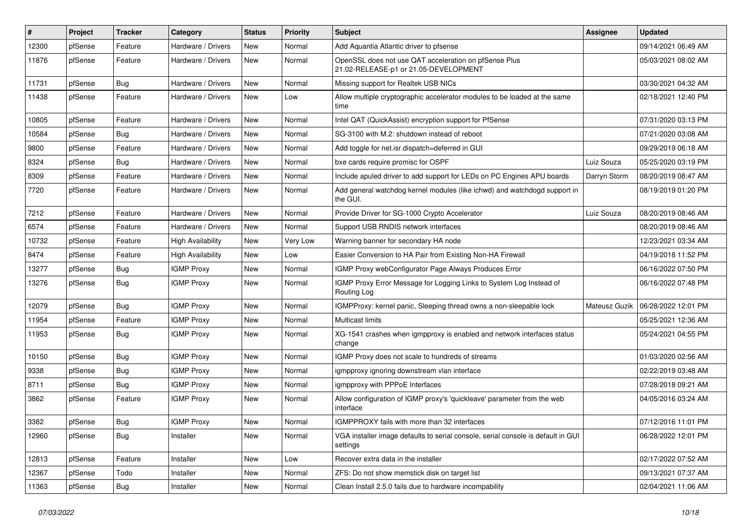| $\sharp$ | Project | <b>Tracker</b> | Category                 | <b>Status</b> | <b>Priority</b> | <b>Subject</b>                                                                                 | Assignee      | <b>Updated</b>      |
|----------|---------|----------------|--------------------------|---------------|-----------------|------------------------------------------------------------------------------------------------|---------------|---------------------|
| 12300    | pfSense | Feature        | Hardware / Drivers       | <b>New</b>    | Normal          | Add Aquantia Atlantic driver to pfsense                                                        |               | 09/14/2021 06:49 AM |
| 11876    | pfSense | Feature        | Hardware / Drivers       | New           | Normal          | OpenSSL does not use QAT acceleration on pfSense Plus<br>21.02-RELEASE-p1 or 21.05-DEVELOPMENT |               | 05/03/2021 08:02 AM |
| 11731    | pfSense | Bug            | Hardware / Drivers       | <b>New</b>    | Normal          | Missing support for Realtek USB NICs                                                           |               | 03/30/2021 04:32 AM |
| 11438    | pfSense | Feature        | Hardware / Drivers       | <b>New</b>    | Low             | Allow multiple cryptographic accelerator modules to be loaded at the same<br>time              |               | 02/18/2021 12:40 PM |
| 10805    | pfSense | Feature        | Hardware / Drivers       | New           | Normal          | Intel QAT (QuickAssist) encryption support for PfSense                                         |               | 07/31/2020 03:13 PM |
| 10584    | pfSense | <b>Bug</b>     | Hardware / Drivers       | New           | Normal          | SG-3100 with M.2: shutdown instead of reboot                                                   |               | 07/21/2020 03:08 AM |
| 9800     | pfSense | Feature        | Hardware / Drivers       | New           | Normal          | Add toggle for net.isr.dispatch=deferred in GUI                                                |               | 09/29/2019 06:18 AM |
| 8324     | pfSense | <b>Bug</b>     | Hardware / Drivers       | <b>New</b>    | Normal          | bxe cards require promisc for OSPF                                                             | Luiz Souza    | 05/25/2020 03:19 PM |
| 8309     | pfSense | Feature        | Hardware / Drivers       | New           | Normal          | Include apuled driver to add support for LEDs on PC Engines APU boards                         | Darryn Storm  | 08/20/2019 08:47 AM |
| 7720     | pfSense | Feature        | Hardware / Drivers       | New           | Normal          | Add general watchdog kernel modules (like ichwd) and watchdogd support in<br>the GUI.          |               | 08/19/2019 01:20 PM |
| 7212     | pfSense | Feature        | Hardware / Drivers       | New           | Normal          | Provide Driver for SG-1000 Crypto Accelerator                                                  | Luiz Souza    | 08/20/2019 08:46 AM |
| 6574     | pfSense | Feature        | Hardware / Drivers       | New           | Normal          | Support USB RNDIS network interfaces                                                           |               | 08/20/2019 08:46 AM |
| 10732    | pfSense | Feature        | <b>High Availability</b> | New           | Very Low        | Warning banner for secondary HA node                                                           |               | 12/23/2021 03:34 AM |
| 8474     | pfSense | Feature        | <b>High Availability</b> | New           | Low             | Easier Conversion to HA Pair from Existing Non-HA Firewall                                     |               | 04/19/2018 11:52 PM |
| 13277    | pfSense | <b>Bug</b>     | <b>IGMP Proxy</b>        | <b>New</b>    | Normal          | IGMP Proxy webConfigurator Page Always Produces Error                                          |               | 06/16/2022 07:50 PM |
| 13276    | pfSense | Bug            | <b>IGMP Proxy</b>        | New           | Normal          | IGMP Proxy Error Message for Logging Links to System Log Instead of<br>Routing Log             |               | 06/16/2022 07:48 PM |
| 12079    | pfSense | Bug            | <b>IGMP Proxy</b>        | <b>New</b>    | Normal          | IGMPProxy: kernel panic, Sleeping thread owns a non-sleepable lock                             | Mateusz Guzik | 06/28/2022 12:01 PM |
| 11954    | pfSense | Feature        | <b>IGMP Proxy</b>        | New           | Normal          | <b>Multicast limits</b>                                                                        |               | 05/25/2021 12:36 AM |
| 11953    | pfSense | <b>Bug</b>     | <b>IGMP Proxy</b>        | New           | Normal          | XG-1541 crashes when igmpproxy is enabled and network interfaces status<br>change              |               | 05/24/2021 04:55 PM |
| 10150    | pfSense | Bug            | <b>IGMP Proxy</b>        | <b>New</b>    | Normal          | IGMP Proxy does not scale to hundreds of streams                                               |               | 01/03/2020 02:56 AM |
| 9338     | pfSense | <b>Bug</b>     | <b>IGMP Proxy</b>        | <b>New</b>    | Normal          | igmpproxy ignoring downstream vlan interface                                                   |               | 02/22/2019 03:48 AM |
| 8711     | pfSense | Bug            | <b>IGMP Proxy</b>        | New           | Normal          | igmpproxy with PPPoE Interfaces                                                                |               | 07/28/2018 09:21 AM |
| 3862     | pfSense | Feature        | <b>IGMP Proxy</b>        | New           | Normal          | Allow configuration of IGMP proxy's 'quickleave' parameter from the web<br>interface           |               | 04/05/2016 03:24 AM |
| 3382     | pfSense | <b>Bug</b>     | <b>IGMP Proxy</b>        | New           | Normal          | IGMPPROXY fails with more than 32 interfaces                                                   |               | 07/12/2016 11:01 PM |
| 12960    | pfSense | <b>Bug</b>     | Installer                | <b>New</b>    | Normal          | VGA installer image defaults to serial console, serial console is default in GUI<br>settings   |               | 06/28/2022 12:01 PM |
| 12813    | pfSense | Feature        | Installer                | <b>New</b>    | Low             | Recover extra data in the installer                                                            |               | 02/17/2022 07:52 AM |
| 12367    | pfSense | Todo           | Installer                | New           | Normal          | ZFS: Do not show memstick disk on target list                                                  |               | 09/13/2021 07:37 AM |
| 11363    | pfSense | Bug            | Installer                | New           | Normal          | Clean Install 2.5.0 fails due to hardware incompability                                        |               | 02/04/2021 11:06 AM |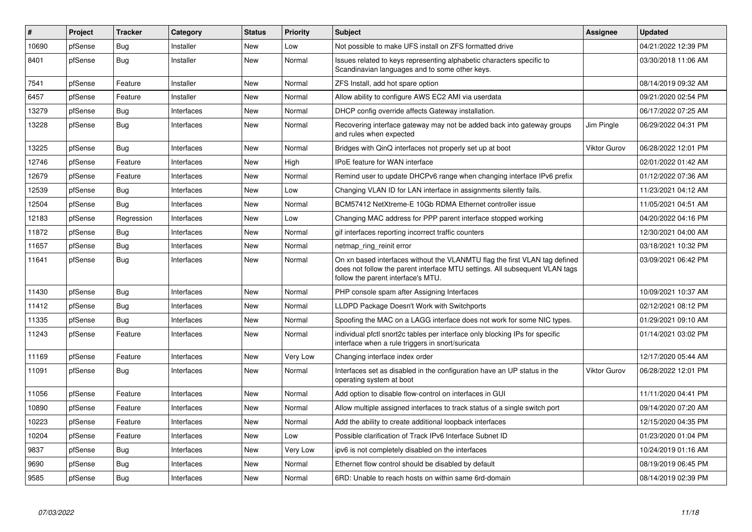| $\vert$ # | Project | <b>Tracker</b> | Category   | <b>Status</b> | <b>Priority</b> | <b>Subject</b>                                                                                                                                                                                  | Assignee            | <b>Updated</b>      |
|-----------|---------|----------------|------------|---------------|-----------------|-------------------------------------------------------------------------------------------------------------------------------------------------------------------------------------------------|---------------------|---------------------|
| 10690     | pfSense | <b>Bug</b>     | Installer  | <b>New</b>    | Low             | Not possible to make UFS install on ZFS formatted drive                                                                                                                                         |                     | 04/21/2022 12:39 PM |
| 8401      | pfSense | Bug            | Installer  | <b>New</b>    | Normal          | Issues related to keys representing alphabetic characters specific to<br>Scandinavian languages and to some other keys.                                                                         |                     | 03/30/2018 11:06 AM |
| 7541      | pfSense | Feature        | Installer  | <b>New</b>    | Normal          | ZFS Install, add hot spare option                                                                                                                                                               |                     | 08/14/2019 09:32 AM |
| 6457      | pfSense | Feature        | Installer  | <b>New</b>    | Normal          | Allow ability to configure AWS EC2 AMI via userdata                                                                                                                                             |                     | 09/21/2020 02:54 PM |
| 13279     | pfSense | Bug            | Interfaces | <b>New</b>    | Normal          | DHCP config override affects Gateway installation.                                                                                                                                              |                     | 06/17/2022 07:25 AM |
| 13228     | pfSense | <b>Bug</b>     | Interfaces | <b>New</b>    | Normal          | Recovering interface gateway may not be added back into gateway groups<br>and rules when expected                                                                                               | Jim Pingle          | 06/29/2022 04:31 PM |
| 13225     | pfSense | <b>Bug</b>     | Interfaces | <b>New</b>    | Normal          | Bridges with QinQ interfaces not properly set up at boot                                                                                                                                        | <b>Viktor Gurov</b> | 06/28/2022 12:01 PM |
| 12746     | pfSense | Feature        | Interfaces | <b>New</b>    | High            | <b>IPoE</b> feature for WAN interface                                                                                                                                                           |                     | 02/01/2022 01:42 AM |
| 12679     | pfSense | Feature        | Interfaces | <b>New</b>    | Normal          | Remind user to update DHCPv6 range when changing interface IPv6 prefix                                                                                                                          |                     | 01/12/2022 07:36 AM |
| 12539     | pfSense | <b>Bug</b>     | Interfaces | <b>New</b>    | Low             | Changing VLAN ID for LAN interface in assignments silently fails.                                                                                                                               |                     | 11/23/2021 04:12 AM |
| 12504     | pfSense | Bug            | Interfaces | <b>New</b>    | Normal          | BCM57412 NetXtreme-E 10Gb RDMA Ethernet controller issue                                                                                                                                        |                     | 11/05/2021 04:51 AM |
| 12183     | pfSense | Regression     | Interfaces | <b>New</b>    | Low             | Changing MAC address for PPP parent interface stopped working                                                                                                                                   |                     | 04/20/2022 04:16 PM |
| 11872     | pfSense | Bug            | Interfaces | <b>New</b>    | Normal          | gif interfaces reporting incorrect traffic counters                                                                                                                                             |                     | 12/30/2021 04:00 AM |
| 11657     | pfSense | <b>Bug</b>     | Interfaces | <b>New</b>    | Normal          | netmap_ring_reinit error                                                                                                                                                                        |                     | 03/18/2021 10:32 PM |
| 11641     | pfSense | <b>Bug</b>     | Interfaces | <b>New</b>    | Normal          | On xn based interfaces without the VLANMTU flag the first VLAN tag defined<br>does not follow the parent interface MTU settings. All subsequent VLAN tags<br>follow the parent interface's MTU. |                     | 03/09/2021 06:42 PM |
| 11430     | pfSense | <b>Bug</b>     | Interfaces | <b>New</b>    | Normal          | PHP console spam after Assigning Interfaces                                                                                                                                                     |                     | 10/09/2021 10:37 AM |
| 11412     | pfSense | <b>Bug</b>     | Interfaces | <b>New</b>    | Normal          | LLDPD Package Doesn't Work with Switchports                                                                                                                                                     |                     | 02/12/2021 08:12 PM |
| 11335     | pfSense | Bug            | Interfaces | <b>New</b>    | Normal          | Spoofing the MAC on a LAGG interface does not work for some NIC types.                                                                                                                          |                     | 01/29/2021 09:10 AM |
| 11243     | pfSense | Feature        | Interfaces | New           | Normal          | individual pfctl snort2c tables per interface only blocking IPs for specific<br>interface when a rule triggers in snort/suricata                                                                |                     | 01/14/2021 03:02 PM |
| 11169     | pfSense | Feature        | Interfaces | <b>New</b>    | Very Low        | Changing interface index order                                                                                                                                                                  |                     | 12/17/2020 05:44 AM |
| 11091     | pfSense | Bug            | Interfaces | New           | Normal          | Interfaces set as disabled in the configuration have an UP status in the<br>operating system at boot                                                                                            | <b>Viktor Gurov</b> | 06/28/2022 12:01 PM |
| 11056     | pfSense | Feature        | Interfaces | <b>New</b>    | Normal          | Add option to disable flow-control on interfaces in GUI                                                                                                                                         |                     | 11/11/2020 04:41 PM |
| 10890     | pfSense | Feature        | Interfaces | New           | Normal          | Allow multiple assigned interfaces to track status of a single switch port                                                                                                                      |                     | 09/14/2020 07:20 AM |
| 10223     | pfSense | Feature        | Interfaces | <b>New</b>    | Normal          | Add the ability to create additional loopback interfaces                                                                                                                                        |                     | 12/15/2020 04:35 PM |
| 10204     | pfSense | Feature        | Interfaces | New           | Low             | Possible clarification of Track IPv6 Interface Subnet ID                                                                                                                                        |                     | 01/23/2020 01:04 PM |
| 9837      | pfSense | <b>Bug</b>     | Interfaces | <b>New</b>    | Very Low        | ipv6 is not completely disabled on the interfaces                                                                                                                                               |                     | 10/24/2019 01:16 AM |
| 9690      | pfSense | Bug            | Interfaces | New           | Normal          | Ethernet flow control should be disabled by default                                                                                                                                             |                     | 08/19/2019 06:45 PM |
| 9585      | pfSense | <b>Bug</b>     | Interfaces | <b>New</b>    | Normal          | 6RD: Unable to reach hosts on within same 6rd-domain                                                                                                                                            |                     | 08/14/2019 02:39 PM |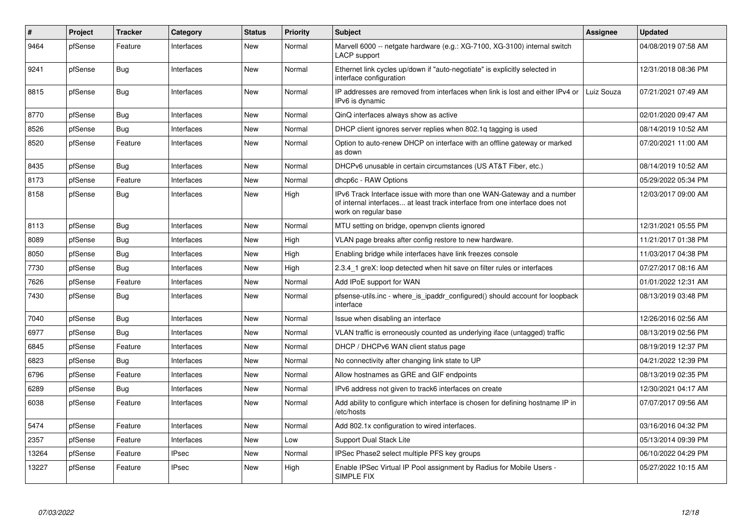| #     | Project | <b>Tracker</b> | Category     | <b>Status</b> | <b>Priority</b> | <b>Subject</b>                                                                                                                                                                | <b>Assignee</b> | <b>Updated</b>      |
|-------|---------|----------------|--------------|---------------|-----------------|-------------------------------------------------------------------------------------------------------------------------------------------------------------------------------|-----------------|---------------------|
| 9464  | pfSense | Feature        | Interfaces   | <b>New</b>    | Normal          | Marvell 6000 -- netgate hardware (e.g.: XG-7100, XG-3100) internal switch<br>LACP support                                                                                     |                 | 04/08/2019 07:58 AM |
| 9241  | pfSense | Bug            | Interfaces   | New           | Normal          | Ethernet link cycles up/down if "auto-negotiate" is explicitly selected in<br>interface configuration                                                                         |                 | 12/31/2018 08:36 PM |
| 8815  | pfSense | Bug            | Interfaces   | New           | Normal          | IP addresses are removed from interfaces when link is lost and either IPv4 or<br>IPv6 is dynamic                                                                              | Luiz Souza      | 07/21/2021 07:49 AM |
| 8770  | pfSense | <b>Bug</b>     | Interfaces   | <b>New</b>    | Normal          | QinQ interfaces always show as active                                                                                                                                         |                 | 02/01/2020 09:47 AM |
| 8526  | pfSense | Bug            | Interfaces   | <b>New</b>    | Normal          | DHCP client ignores server replies when 802.1g tagging is used                                                                                                                |                 | 08/14/2019 10:52 AM |
| 8520  | pfSense | Feature        | Interfaces   | <b>New</b>    | Normal          | Option to auto-renew DHCP on interface with an offline gateway or marked<br>as down                                                                                           |                 | 07/20/2021 11:00 AM |
| 8435  | pfSense | Bug            | Interfaces   | <b>New</b>    | Normal          | DHCPv6 unusable in certain circumstances (US AT&T Fiber, etc.)                                                                                                                |                 | 08/14/2019 10:52 AM |
| 8173  | pfSense | Feature        | Interfaces   | <b>New</b>    | Normal          | dhcp6c - RAW Options                                                                                                                                                          |                 | 05/29/2022 05:34 PM |
| 8158  | pfSense | <b>Bug</b>     | Interfaces   | <b>New</b>    | High            | IPv6 Track Interface issue with more than one WAN-Gateway and a number<br>of internal interfaces at least track interface from one interface does not<br>work on regular base |                 | 12/03/2017 09:00 AM |
| 8113  | pfSense | Bug            | Interfaces   | New           | Normal          | MTU setting on bridge, openypn clients ignored                                                                                                                                |                 | 12/31/2021 05:55 PM |
| 8089  | pfSense | <b>Bug</b>     | Interfaces   | <b>New</b>    | High            | VLAN page breaks after config restore to new hardware.                                                                                                                        |                 | 11/21/2017 01:38 PM |
| 8050  | pfSense | <b>Bug</b>     | Interfaces   | <b>New</b>    | High            | Enabling bridge while interfaces have link freezes console                                                                                                                    |                 | 11/03/2017 04:38 PM |
| 7730  | pfSense | <b>Bug</b>     | Interfaces   | <b>New</b>    | High            | 2.3.4_1 greX: loop detected when hit save on filter rules or interfaces                                                                                                       |                 | 07/27/2017 08:16 AM |
| 7626  | pfSense | Feature        | Interfaces   | <b>New</b>    | Normal          | Add IPoE support for WAN                                                                                                                                                      |                 | 01/01/2022 12:31 AM |
| 7430  | pfSense | <b>Bug</b>     | Interfaces   | <b>New</b>    | Normal          | pfsense-utils.inc - where is ipaddr configured() should account for loopback<br>interface                                                                                     |                 | 08/13/2019 03:48 PM |
| 7040  | pfSense | <b>Bug</b>     | Interfaces   | <b>New</b>    | Normal          | Issue when disabling an interface                                                                                                                                             |                 | 12/26/2016 02:56 AM |
| 6977  | pfSense | <b>Bug</b>     | Interfaces   | New           | Normal          | VLAN traffic is erroneously counted as underlying iface (untagged) traffic                                                                                                    |                 | 08/13/2019 02:56 PM |
| 6845  | pfSense | Feature        | Interfaces   | <b>New</b>    | Normal          | DHCP / DHCPv6 WAN client status page                                                                                                                                          |                 | 08/19/2019 12:37 PM |
| 6823  | pfSense | <b>Bug</b>     | Interfaces   | <b>New</b>    | Normal          | No connectivity after changing link state to UP                                                                                                                               |                 | 04/21/2022 12:39 PM |
| 6796  | pfSense | Feature        | Interfaces   | New           | Normal          | Allow hostnames as GRE and GIF endpoints                                                                                                                                      |                 | 08/13/2019 02:35 PM |
| 6289  | pfSense | <b>Bug</b>     | Interfaces   | New           | Normal          | IPv6 address not given to track6 interfaces on create                                                                                                                         |                 | 12/30/2021 04:17 AM |
| 6038  | pfSense | Feature        | Interfaces   | <b>New</b>    | Normal          | Add ability to configure which interface is chosen for defining hostname IP in<br>/etc/hosts                                                                                  |                 | 07/07/2017 09:56 AM |
| 5474  | pfSense | Feature        | Interfaces   | <b>New</b>    | Normal          | Add 802.1x configuration to wired interfaces.                                                                                                                                 |                 | 03/16/2016 04:32 PM |
| 2357  | pfSense | Feature        | Interfaces   | <b>New</b>    | Low             | Support Dual Stack Lite                                                                                                                                                       |                 | 05/13/2014 09:39 PM |
| 13264 | pfSense | Feature        | <b>IPsec</b> | New           | Normal          | IPSec Phase2 select multiple PFS key groups                                                                                                                                   |                 | 06/10/2022 04:29 PM |
| 13227 | pfSense | Feature        | <b>IPsec</b> | New           | High            | Enable IPSec Virtual IP Pool assignment by Radius for Mobile Users -<br>SIMPLE FIX                                                                                            |                 | 05/27/2022 10:15 AM |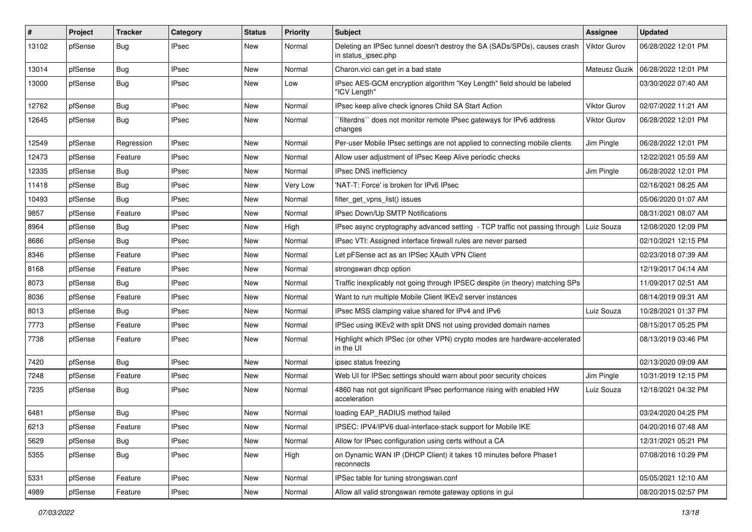| ∦     | Project | <b>Tracker</b> | Category     | <b>Status</b> | <b>Priority</b> | Subject                                                                                          | Assignee            | <b>Updated</b>      |
|-------|---------|----------------|--------------|---------------|-----------------|--------------------------------------------------------------------------------------------------|---------------------|---------------------|
| 13102 | pfSense | <b>Bug</b>     | IPsec        | New           | Normal          | Deleting an IPSec tunnel doesn't destroy the SA (SADs/SPDs), causes crash<br>in status_ipsec.php | <b>Viktor Gurov</b> | 06/28/2022 12:01 PM |
| 13014 | pfSense | <b>Bug</b>     | <b>IPsec</b> | New           | Normal          | Charon.vici can get in a bad state                                                               | Mateusz Guzik       | 06/28/2022 12:01 PM |
| 13000 | pfSense | <b>Bug</b>     | <b>IPsec</b> | New           | Low             | IPsec AES-GCM encryption algorithm "Key Length" field should be labeled<br>"ICV Length"          |                     | 03/30/2022 07:40 AM |
| 12762 | pfSense | <b>Bug</b>     | <b>IPsec</b> | New           | Normal          | IPsec keep alive check ignores Child SA Start Action                                             | Viktor Gurov        | 02/07/2022 11:21 AM |
| 12645 | pfSense | Bug            | <b>IPsec</b> | New           | Normal          | `filterdns`` does not monitor remote IPsec gateways for IPv6 address<br>changes                  | Viktor Gurov        | 06/28/2022 12:01 PM |
| 12549 | pfSense | Regression     | <b>IPsec</b> | New           | Normal          | Per-user Mobile IPsec settings are not applied to connecting mobile clients                      | Jim Pingle          | 06/28/2022 12:01 PM |
| 12473 | pfSense | Feature        | <b>IPsec</b> | New           | Normal          | Allow user adjustment of IPsec Keep Alive periodic checks                                        |                     | 12/22/2021 05:59 AM |
| 12335 | pfSense | <b>Bug</b>     | <b>IPsec</b> | New           | Normal          | IPsec DNS inefficiency                                                                           | Jim Pingle          | 06/28/2022 12:01 PM |
| 11418 | pfSense | <b>Bug</b>     | <b>IPsec</b> | New           | Very Low        | 'NAT-T: Force' is broken for IPv6 IPsec                                                          |                     | 02/16/2021 08:25 AM |
| 10493 | pfSense | <b>Bug</b>     | <b>IPsec</b> | New           | Normal          | filter_get_vpns_list() issues                                                                    |                     | 05/06/2020 01:07 AM |
| 9857  | pfSense | Feature        | <b>IPsec</b> | New           | Normal          | IPsec Down/Up SMTP Notifications                                                                 |                     | 08/31/2021 08:07 AM |
| 8964  | pfSense | <b>Bug</b>     | <b>IPsec</b> | New           | High            | IPsec async cryptography advanced setting - TCP traffic not passing through Luiz Souza           |                     | 12/08/2020 12:09 PM |
| 8686  | pfSense | <b>Bug</b>     | <b>IPsec</b> | New           | Normal          | IPsec VTI: Assigned interface firewall rules are never parsed                                    |                     | 02/10/2021 12:15 PM |
| 8346  | pfSense | Feature        | <b>IPsec</b> | New           | Normal          | Let pFSense act as an IPSec XAuth VPN Client                                                     |                     | 02/23/2018 07:39 AM |
| 8168  | pfSense | Feature        | <b>IPsec</b> | New           | Normal          | strongswan dhcp option                                                                           |                     | 12/19/2017 04:14 AM |
| 8073  | pfSense | <b>Bug</b>     | <b>IPsec</b> | New           | Normal          | Traffic inexplicably not going through IPSEC despite (in theory) matching SPs                    |                     | 11/09/2017 02:51 AM |
| 8036  | pfSense | Feature        | <b>IPsec</b> | New           | Normal          | Want to run multiple Mobile Client IKEv2 server instances                                        |                     | 08/14/2019 09:31 AM |
| 8013  | pfSense | <b>Bug</b>     | <b>IPsec</b> | New           | Normal          | IPsec MSS clamping value shared for IPv4 and IPv6                                                | Luiz Souza          | 10/28/2021 01:37 PM |
| 7773  | pfSense | Feature        | <b>IPsec</b> | New           | Normal          | IPSec using IKEv2 with split DNS not using provided domain names                                 |                     | 08/15/2017 05:25 PM |
| 7738  | pfSense | Feature        | <b>IPsec</b> | New           | Normal          | Highlight which IPSec (or other VPN) crypto modes are hardware-accelerated<br>in the UI          |                     | 08/13/2019 03:46 PM |
| 7420  | pfSense | Bug            | <b>IPsec</b> | New           | Normal          | ipsec status freezing                                                                            |                     | 02/13/2020 09:09 AM |
| 7248  | pfSense | Feature        | <b>IPsec</b> | New           | Normal          | Web UI for IPSec settings should warn about poor security choices                                | Jim Pingle          | 10/31/2019 12:15 PM |
| 7235  | pfSense | <b>Bug</b>     | <b>IPsec</b> | New           | Normal          | 4860 has not got significant IPsec performance rising with enabled HW<br>acceleration            | Luiz Souza          | 12/18/2021 04:32 PM |
| 6481  | pfSense | <b>Bug</b>     | <b>IPsec</b> | <b>New</b>    | Normal          | loading EAP_RADIUS method failed                                                                 |                     | 03/24/2020 04:25 PM |
| 6213  | ptSense | Feature        | IPsec        | New           | Normal          | IPSEC: IPV4/IPV6 dual-interface-stack support for Mobile IKE                                     |                     | 04/20/2016 07:48 AM |
| 5629  | pfSense | <b>Bug</b>     | <b>IPsec</b> | New           | Normal          | Allow for IPsec configuration using certs without a CA                                           |                     | 12/31/2021 05:21 PM |
| 5355  | pfSense | <b>Bug</b>     | <b>IPsec</b> | New           | High            | on Dynamic WAN IP (DHCP Client) it takes 10 minutes before Phase1<br>reconnects                  |                     | 07/08/2016 10:29 PM |
| 5331  | pfSense | Feature        | <b>IPsec</b> | New           | Normal          | IPSec table for tuning strongswan.conf                                                           |                     | 05/05/2021 12:10 AM |
| 4989  | pfSense | Feature        | <b>IPsec</b> | New           | Normal          | Allow all valid strongswan remote gateway options in gui                                         |                     | 08/20/2015 02:57 PM |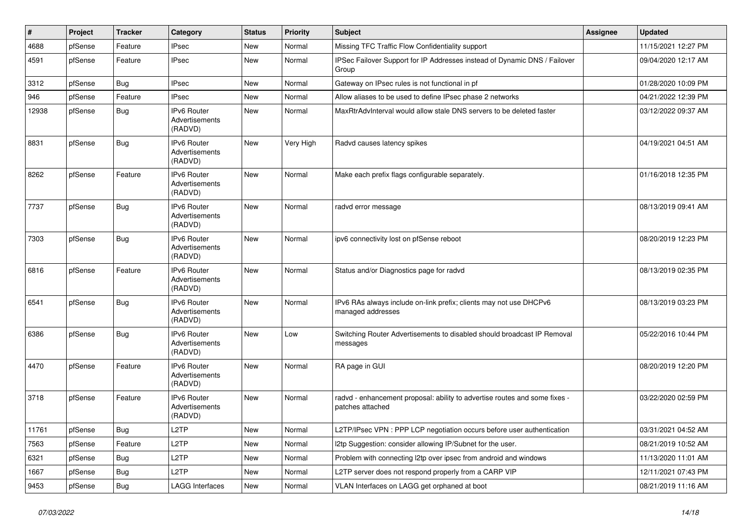| $\vert$ # | Project | <b>Tracker</b> | Category                                        | <b>Status</b> | <b>Priority</b> | <b>Subject</b>                                                                                 | Assignee | <b>Updated</b>      |
|-----------|---------|----------------|-------------------------------------------------|---------------|-----------------|------------------------------------------------------------------------------------------------|----------|---------------------|
| 4688      | pfSense | Feature        | <b>IPsec</b>                                    | New           | Normal          | Missing TFC Traffic Flow Confidentiality support                                               |          | 11/15/2021 12:27 PM |
| 4591      | pfSense | Feature        | <b>IPsec</b>                                    | New           | Normal          | IPSec Failover Support for IP Addresses instead of Dynamic DNS / Failover<br>Group             |          | 09/04/2020 12:17 AM |
| 3312      | pfSense | <b>Bug</b>     | <b>IPsec</b>                                    | <b>New</b>    | Normal          | Gateway on IPsec rules is not functional in pf                                                 |          | 01/28/2020 10:09 PM |
| 946       | pfSense | Feature        | <b>IPsec</b>                                    | New           | Normal          | Allow aliases to be used to define IPsec phase 2 networks                                      |          | 04/21/2022 12:39 PM |
| 12938     | pfSense | Bug            | IPv6 Router<br>Advertisements<br>(RADVD)        | New           | Normal          | MaxRtrAdvInterval would allow stale DNS servers to be deleted faster                           |          | 03/12/2022 09:37 AM |
| 8831      | pfSense | Bug            | <b>IPv6 Router</b><br>Advertisements<br>(RADVD) | <b>New</b>    | Very High       | Radvd causes latency spikes                                                                    |          | 04/19/2021 04:51 AM |
| 8262      | pfSense | Feature        | IPv6 Router<br>Advertisements<br>(RADVD)        | New           | Normal          | Make each prefix flags configurable separately.                                                |          | 01/16/2018 12:35 PM |
| 7737      | pfSense | Bug            | IPv6 Router<br>Advertisements<br>(RADVD)        | New           | Normal          | radvd error message                                                                            |          | 08/13/2019 09:41 AM |
| 7303      | pfSense | Bug            | <b>IPv6 Router</b><br>Advertisements<br>(RADVD) | <b>New</b>    | Normal          | ipv6 connectivity lost on pfSense reboot                                                       |          | 08/20/2019 12:23 PM |
| 6816      | pfSense | Feature        | <b>IPv6 Router</b><br>Advertisements<br>(RADVD) | <b>New</b>    | Normal          | Status and/or Diagnostics page for radvd                                                       |          | 08/13/2019 02:35 PM |
| 6541      | pfSense | Bug            | <b>IPv6 Router</b><br>Advertisements<br>(RADVD) | <b>New</b>    | Normal          | IPv6 RAs always include on-link prefix; clients may not use DHCPv6<br>managed addresses        |          | 08/13/2019 03:23 PM |
| 6386      | pfSense | Bug            | IPv6 Router<br>Advertisements<br>(RADVD)        | New           | Low             | Switching Router Advertisements to disabled should broadcast IP Removal<br>messages            |          | 05/22/2016 10:44 PM |
| 4470      | pfSense | Feature        | <b>IPv6 Router</b><br>Advertisements<br>(RADVD) | New           | Normal          | RA page in GUI                                                                                 |          | 08/20/2019 12:20 PM |
| 3718      | pfSense | Feature        | <b>IPv6 Router</b><br>Advertisements<br>(RADVD) | New           | Normal          | radvd - enhancement proposal: ability to advertise routes and some fixes -<br>patches attached |          | 03/22/2020 02:59 PM |
| 11761     | pfSense | Bug            | L <sub>2</sub> TP                               | New           | Normal          | L2TP/IPsec VPN : PPP LCP negotiation occurs before user authentication                         |          | 03/31/2021 04:52 AM |
| 7563      | pfSense | Feature        | L <sub>2</sub> TP                               | New           | Normal          | I2tp Suggestion: consider allowing IP/Subnet for the user.                                     |          | 08/21/2019 10:52 AM |
| 6321      | pfSense | <b>Bug</b>     | L <sub>2</sub> TP                               | New           | Normal          | Problem with connecting l2tp over ipsec from android and windows                               |          | 11/13/2020 11:01 AM |
| 1667      | pfSense | Bug            | L <sub>2</sub> TP                               | New           | Normal          | L2TP server does not respond properly from a CARP VIP                                          |          | 12/11/2021 07:43 PM |
| 9453      | pfSense | Bug            | <b>LAGG Interfaces</b>                          | New           | Normal          | VLAN Interfaces on LAGG get orphaned at boot                                                   |          | 08/21/2019 11:16 AM |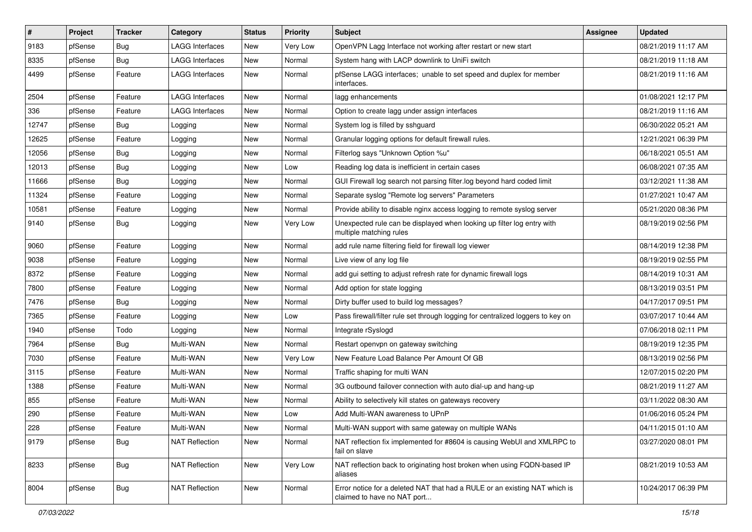| $\vert$ # | Project | <b>Tracker</b> | Category               | <b>Status</b> | <b>Priority</b> | <b>Subject</b>                                                                                            | <b>Assignee</b> | <b>Updated</b>      |
|-----------|---------|----------------|------------------------|---------------|-----------------|-----------------------------------------------------------------------------------------------------------|-----------------|---------------------|
| 9183      | pfSense | <b>Bug</b>     | <b>LAGG Interfaces</b> | New           | Very Low        | OpenVPN Lagg Interface not working after restart or new start                                             |                 | 08/21/2019 11:17 AM |
| 8335      | pfSense | <b>Bug</b>     | <b>LAGG Interfaces</b> | <b>New</b>    | Normal          | System hang with LACP downlink to UniFi switch                                                            |                 | 08/21/2019 11:18 AM |
| 4499      | pfSense | Feature        | LAGG Interfaces        | New           | Normal          | pfSense LAGG interfaces; unable to set speed and duplex for member<br>interfaces.                         |                 | 08/21/2019 11:16 AM |
| 2504      | pfSense | Feature        | <b>LAGG Interfaces</b> | New           | Normal          | lagg enhancements                                                                                         |                 | 01/08/2021 12:17 PM |
| 336       | pfSense | Feature        | <b>LAGG Interfaces</b> | <b>New</b>    | Normal          | Option to create lagg under assign interfaces                                                             |                 | 08/21/2019 11:16 AM |
| 12747     | pfSense | Bug            | Logging                | New           | Normal          | System log is filled by sshguard                                                                          |                 | 06/30/2022 05:21 AM |
| 12625     | pfSense | Feature        | Logging                | <b>New</b>    | Normal          | Granular logging options for default firewall rules.                                                      |                 | 12/21/2021 06:39 PM |
| 12056     | pfSense | <b>Bug</b>     | Logging                | <b>New</b>    | Normal          | Filterlog says "Unknown Option %u"                                                                        |                 | 06/18/2021 05:51 AM |
| 12013     | pfSense | <b>Bug</b>     | Logging                | <b>New</b>    | Low             | Reading log data is inefficient in certain cases                                                          |                 | 06/08/2021 07:35 AM |
| 11666     | pfSense | <b>Bug</b>     | Logging                | New           | Normal          | GUI Firewall log search not parsing filter.log beyond hard coded limit                                    |                 | 03/12/2021 11:38 AM |
| 11324     | pfSense | Feature        | Logging                | New           | Normal          | Separate syslog "Remote log servers" Parameters                                                           |                 | 01/27/2021 10:47 AM |
| 10581     | pfSense | Feature        | Logging                | New           | Normal          | Provide ability to disable nginx access logging to remote syslog server                                   |                 | 05/21/2020 08:36 PM |
| 9140      | pfSense | <b>Bug</b>     | Logging                | <b>New</b>    | Very Low        | Unexpected rule can be displayed when looking up filter log entry with<br>multiple matching rules         |                 | 08/19/2019 02:56 PM |
| 9060      | pfSense | Feature        | Logging                | New           | Normal          | add rule name filtering field for firewall log viewer                                                     |                 | 08/14/2019 12:38 PM |
| 9038      | pfSense | Feature        | Logging                | <b>New</b>    | Normal          | Live view of any log file                                                                                 |                 | 08/19/2019 02:55 PM |
| 8372      | pfSense | Feature        | Logging                | <b>New</b>    | Normal          | add gui setting to adjust refresh rate for dynamic firewall logs                                          |                 | 08/14/2019 10:31 AM |
| 7800      | pfSense | Feature        | Logging                | New           | Normal          | Add option for state logging                                                                              |                 | 08/13/2019 03:51 PM |
| 7476      | pfSense | Bug            | Logging                | <b>New</b>    | Normal          | Dirty buffer used to build log messages?                                                                  |                 | 04/17/2017 09:51 PM |
| 7365      | pfSense | Feature        | Logging                | New           | Low             | Pass firewall/filter rule set through logging for centralized loggers to key on                           |                 | 03/07/2017 10:44 AM |
| 1940      | pfSense | Todo           | Logging                | <b>New</b>    | Normal          | Integrate rSyslogd                                                                                        |                 | 07/06/2018 02:11 PM |
| 7964      | pfSense | Bug            | Multi-WAN              | <b>New</b>    | Normal          | Restart openvpn on gateway switching                                                                      |                 | 08/19/2019 12:35 PM |
| 7030      | pfSense | Feature        | Multi-WAN              | New           | Very Low        | New Feature Load Balance Per Amount Of GB                                                                 |                 | 08/13/2019 02:56 PM |
| 3115      | pfSense | Feature        | Multi-WAN              | New           | Normal          | Traffic shaping for multi WAN                                                                             |                 | 12/07/2015 02:20 PM |
| 1388      | pfSense | Feature        | Multi-WAN              | <b>New</b>    | Normal          | 3G outbound failover connection with auto dial-up and hang-up                                             |                 | 08/21/2019 11:27 AM |
| 855       | pfSense | Feature        | Multi-WAN              | <b>New</b>    | Normal          | Ability to selectively kill states on gateways recovery                                                   |                 | 03/11/2022 08:30 AM |
| 290       | pfSense | Feature        | Multi-WAN              | <b>New</b>    | Low             | Add Multi-WAN awareness to UPnP                                                                           |                 | 01/06/2016 05:24 PM |
| 228       | pfSense | Feature        | Multi-WAN              | New           | Normal          | Multi-WAN support with same gateway on multiple WANs                                                      |                 | 04/11/2015 01:10 AM |
| 9179      | pfSense | <b>Bug</b>     | <b>NAT Reflection</b>  | New           | Normal          | NAT reflection fix implemented for #8604 is causing WebUI and XMLRPC to<br>fail on slave                  |                 | 03/27/2020 08:01 PM |
| 8233      | pfSense | <b>Bug</b>     | <b>NAT Reflection</b>  | New           | Very Low        | NAT reflection back to originating host broken when using FQDN-based IP<br>aliases                        |                 | 08/21/2019 10:53 AM |
| 8004      | pfSense | <b>Bug</b>     | <b>NAT Reflection</b>  | New           | Normal          | Error notice for a deleted NAT that had a RULE or an existing NAT which is<br>claimed to have no NAT port |                 | 10/24/2017 06:39 PM |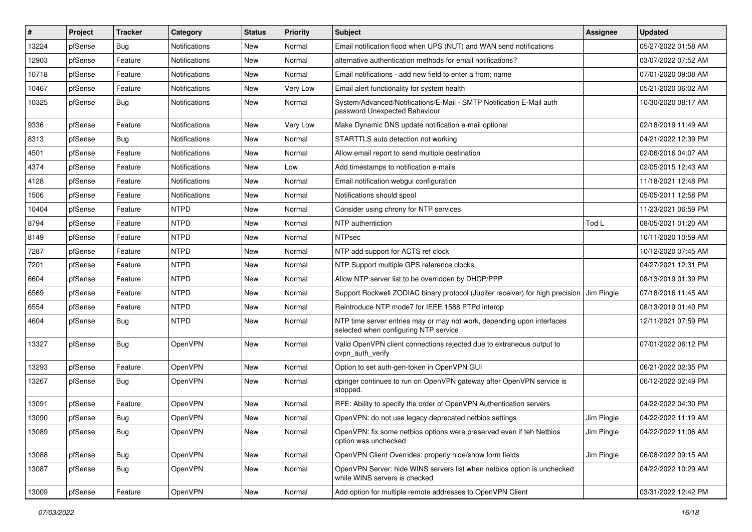| #     | Project | <b>Tracker</b> | Category             | <b>Status</b> | Priority | <b>Subject</b>                                                                                                  | <b>Assignee</b> | <b>Updated</b>      |
|-------|---------|----------------|----------------------|---------------|----------|-----------------------------------------------------------------------------------------------------------------|-----------------|---------------------|
| 13224 | pfSense | Bug            | <b>Notifications</b> | New           | Normal   | Email notification flood when UPS (NUT) and WAN send notifications                                              |                 | 05/27/2022 01:58 AM |
| 12903 | pfSense | Feature        | <b>Notifications</b> | <b>New</b>    | Normal   | alternative authentication methods for email notifications?                                                     |                 | 03/07/2022 07:52 AM |
| 10718 | pfSense | Feature        | <b>Notifications</b> | <b>New</b>    | Normal   | Email notifications - add new field to enter a from: name                                                       |                 | 07/01/2020 09:08 AM |
| 10467 | pfSense | Feature        | <b>Notifications</b> | New           | Very Low | Email alert functionality for system health                                                                     |                 | 05/21/2020 06:02 AM |
| 10325 | pfSense | Bug            | <b>Notifications</b> | <b>New</b>    | Normal   | System/Advanced/Notifications/E-Mail - SMTP Notification E-Mail auth<br>password Unexpected Bahaviour           |                 | 10/30/2020 08:17 AM |
| 9336  | pfSense | Feature        | <b>Notifications</b> | <b>New</b>    | Very Low | Make Dynamic DNS update notification e-mail optional                                                            |                 | 02/18/2019 11:49 AM |
| 8313  | pfSense | Bug            | <b>Notifications</b> | New           | Normal   | STARTTLS auto detection not working                                                                             |                 | 04/21/2022 12:39 PM |
| 4501  | pfSense | Feature        | <b>Notifications</b> | <b>New</b>    | Normal   | Allow email report to send multiple destination                                                                 |                 | 02/06/2016 04:07 AM |
| 4374  | pfSense | Feature        | <b>Notifications</b> | <b>New</b>    | Low      | Add timestamps to notification e-mails                                                                          |                 | 02/05/2015 12:43 AM |
| 4128  | pfSense | Feature        | <b>Notifications</b> | <b>New</b>    | Normal   | Email notification webgui configuration                                                                         |                 | 11/18/2021 12:48 PM |
| 1506  | pfSense | Feature        | <b>Notifications</b> | <b>New</b>    | Normal   | Notifications should spool                                                                                      |                 | 05/05/2011 12:58 PM |
| 10404 | pfSense | Feature        | <b>NTPD</b>          | <b>New</b>    | Normal   | Consider using chrony for NTP services                                                                          |                 | 11/23/2021 06:59 PM |
| 8794  | pfSense | Feature        | <b>NTPD</b>          | New           | Normal   | NTP authentiction                                                                                               | Tod L           | 08/05/2021 01:20 AM |
| 8149  | pfSense | Feature        | <b>NTPD</b>          | <b>New</b>    | Normal   | <b>NTPsec</b>                                                                                                   |                 | 10/11/2020 10:59 AM |
| 7287  | pfSense | Feature        | <b>NTPD</b>          | New           | Normal   | NTP add support for ACTS ref clock                                                                              |                 | 10/12/2020 07:45 AM |
| 7201  | pfSense | Feature        | <b>NTPD</b>          | New           | Normal   | NTP Support multiple GPS reference clocks                                                                       |                 | 04/27/2021 12:31 PM |
| 6604  | pfSense | Feature        | <b>NTPD</b>          | <b>New</b>    | Normal   | Allow NTP server list to be overridden by DHCP/PPP                                                              |                 | 08/13/2019 01:39 PM |
| 6569  | pfSense | Feature        | <b>NTPD</b>          | New           | Normal   | Support Rockwell ZODIAC binary protocol (Jupiter receiver) for high precision                                   | Jim Pingle      | 07/18/2016 11:45 AM |
| 6554  | pfSense | Feature        | <b>NTPD</b>          | <b>New</b>    | Normal   | Reintroduce NTP mode7 for IEEE 1588 PTPd interop                                                                |                 | 08/13/2019 01:40 PM |
| 4604  | pfSense | <b>Bug</b>     | <b>NTPD</b>          | New           | Normal   | NTP time server entries may or may not work, depending upon interfaces<br>selected when configuring NTP service |                 | 12/11/2021 07:59 PM |
| 13327 | pfSense | Bug            | OpenVPN              | <b>New</b>    | Normal   | Valid OpenVPN client connections rejected due to extraneous output to<br>ovpn auth verify                       |                 | 07/01/2022 06:12 PM |
| 13293 | pfSense | Feature        | OpenVPN              | <b>New</b>    | Normal   | Option to set auth-gen-token in OpenVPN GUI                                                                     |                 | 06/21/2022 02:35 PM |
| 13267 | pfSense | Bug            | <b>OpenVPN</b>       | New           | Normal   | dpinger continues to run on OpenVPN gateway after OpenVPN service is<br>stopped.                                |                 | 06/12/2022 02:49 PM |
| 13091 | pfSense | Feature        | OpenVPN              | New           | Normal   | RFE: Ability to specify the order of OpenVPN Authentication servers                                             |                 | 04/22/2022 04:30 PM |
| 13090 | pfSense | <b>Bug</b>     | OpenVPN              | <b>New</b>    | Normal   | OpenVPN: do not use legacy deprecated netbios settings                                                          | Jim Pingle      | 04/22/2022 11:19 AM |
| 13089 | pfSense | Bug            | OpenVPN              | <b>New</b>    | Normal   | OpenVPN: fix some netbios options were preserved even if teh Netbios<br>option was unchecked                    | Jim Pingle      | 04/22/2022 11:06 AM |
| 13088 | pfSense | Bug            | OpenVPN              | New           | Normal   | OpenVPN Client Overrides: properly hide/show form fields                                                        | Jim Pingle      | 06/08/2022 09:15 AM |
| 13087 | pfSense | Bug            | OpenVPN              | New           | Normal   | OpenVPN Server: hide WINS servers list when netbios option is unchecked<br>while WINS servers is checked        |                 | 04/22/2022 10:29 AM |
| 13009 | pfSense | Feature        | OpenVPN              | New           | Normal   | Add option for multiple remote addresses to OpenVPN Client                                                      |                 | 03/31/2022 12:42 PM |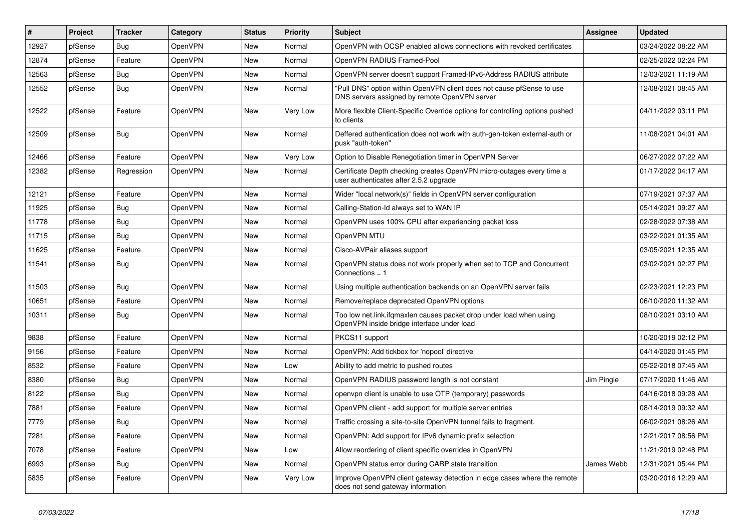| #     | Project | <b>Tracker</b> | Category       | <b>Status</b> | <b>Priority</b> | <b>Subject</b>                                                                                                         | <b>Assignee</b> | <b>Updated</b>      |
|-------|---------|----------------|----------------|---------------|-----------------|------------------------------------------------------------------------------------------------------------------------|-----------------|---------------------|
| 12927 | pfSense | Bug            | OpenVPN        | New           | Normal          | OpenVPN with OCSP enabled allows connections with revoked certificates                                                 |                 | 03/24/2022 08:22 AM |
| 12874 | pfSense | Feature        | OpenVPN        | New           | Normal          | OpenVPN RADIUS Framed-Pool                                                                                             |                 | 02/25/2022 02:24 PM |
| 12563 | pfSense | <b>Bug</b>     | <b>OpenVPN</b> | New           | Normal          | OpenVPN server doesn't support Framed-IPv6-Address RADIUS attribute                                                    |                 | 12/03/2021 11:19 AM |
| 12552 | pfSense | <b>Bug</b>     | OpenVPN        | New           | Normal          | "Pull DNS" option within OpenVPN client does not cause pfSense to use<br>DNS servers assigned by remote OpenVPN server |                 | 12/08/2021 08:45 AM |
| 12522 | pfSense | Feature        | OpenVPN        | New           | Very Low        | More flexible Client-Specific Override options for controlling options pushed<br>to clients                            |                 | 04/11/2022 03:11 PM |
| 12509 | pfSense | <b>Bug</b>     | OpenVPN        | New           | Normal          | Deffered authentication does not work with auth-gen-token external-auth or<br>pusk "auth-token"                        |                 | 11/08/2021 04:01 AM |
| 12466 | pfSense | Feature        | OpenVPN        | New           | Very Low        | Option to Disable Renegotiation timer in OpenVPN Server                                                                |                 | 06/27/2022 07:22 AM |
| 12382 | pfSense | Regression     | OpenVPN        | New           | Normal          | Certificate Depth checking creates OpenVPN micro-outages every time a<br>user authenticates after 2.5.2 upgrade        |                 | 01/17/2022 04:17 AM |
| 12121 | pfSense | Feature        | OpenVPN        | New           | Normal          | Wider "local network(s)" fields in OpenVPN server configuration                                                        |                 | 07/19/2021 07:37 AM |
| 11925 | pfSense | <b>Bug</b>     | OpenVPN        | New           | Normal          | Calling-Station-Id always set to WAN IP                                                                                |                 | 05/14/2021 09:27 AM |
| 11778 | pfSense | <b>Bug</b>     | OpenVPN        | New           | Normal          | OpenVPN uses 100% CPU after experiencing packet loss                                                                   |                 | 02/28/2022 07:38 AM |
| 11715 | pfSense | <b>Bug</b>     | OpenVPN        | New           | Normal          | OpenVPN MTU                                                                                                            |                 | 03/22/2021 01:35 AM |
| 11625 | pfSense | Feature        | OpenVPN        | New           | Normal          | Cisco-AVPair aliases support                                                                                           |                 | 03/05/2021 12:35 AM |
| 11541 | pfSense | <b>Bug</b>     | OpenVPN        | New           | Normal          | OpenVPN status does not work properly when set to TCP and Concurrent<br>Connections = $1$                              |                 | 03/02/2021 02:27 PM |
| 11503 | pfSense | Bug            | OpenVPN        | New           | Normal          | Using multiple authentication backends on an OpenVPN server fails                                                      |                 | 02/23/2021 12:23 PM |
| 10651 | pfSense | Feature        | OpenVPN        | <b>New</b>    | Normal          | Remove/replace deprecated OpenVPN options                                                                              |                 | 06/10/2020 11:32 AM |
| 10311 | pfSense | <b>Bug</b>     | OpenVPN        | New           | Normal          | Too low net.link.ifqmaxlen causes packet drop under load when using<br>OpenVPN inside bridge interface under load      |                 | 08/10/2021 03:10 AM |
| 9838  | pfSense | Feature        | OpenVPN        | <b>New</b>    | Normal          | PKCS11 support                                                                                                         |                 | 10/20/2019 02:12 PM |
| 9156  | pfSense | Feature        | OpenVPN        | New           | Normal          | OpenVPN: Add tickbox for 'nopool' directive                                                                            |                 | 04/14/2020 01:45 PM |
| 8532  | pfSense | Feature        | OpenVPN        | New           | Low             | Ability to add metric to pushed routes                                                                                 |                 | 05/22/2018 07:45 AM |
| 8380  | pfSense | <b>Bug</b>     | OpenVPN        | New           | Normal          | OpenVPN RADIUS password length is not constant                                                                         | Jim Pingle      | 07/17/2020 11:46 AM |
| 8122  | pfSense | <b>Bug</b>     | OpenVPN        | New           | Normal          | openvpn client is unable to use OTP (temporary) passwords                                                              |                 | 04/16/2018 09:28 AM |
| 7881  | pfSense | Feature        | OpenVPN        | <b>New</b>    | Normal          | OpenVPN client - add support for multiple server entries                                                               |                 | 08/14/2019 09:32 AM |
| 7779  | pfSense | <b>Bug</b>     | OpenVPN        | New           | Normal          | Traffic crossing a site-to-site OpenVPN tunnel fails to fragment.                                                      |                 | 06/02/2021 08:26 AM |
| 7281  | pfSense | Feature        | OpenVPN        | New           | Normal          | OpenVPN: Add support for IPv6 dynamic prefix selection                                                                 |                 | 12/21/2017 08:56 PM |
| 7078  | pfSense | Feature        | OpenVPN        | New           | Low             | Allow reordering of client specific overrides in OpenVPN                                                               |                 | 11/21/2019 02:48 PM |
| 6993  | pfSense | Bug            | OpenVPN        | New           | Normal          | OpenVPN status error during CARP state transition                                                                      | James Webb      | 12/31/2021 05:44 PM |
| 5835  | pfSense | Feature        | OpenVPN        | New           | Very Low        | Improve OpenVPN client gateway detection in edge cases where the remote<br>does not send gateway information           |                 | 03/20/2016 12:29 AM |